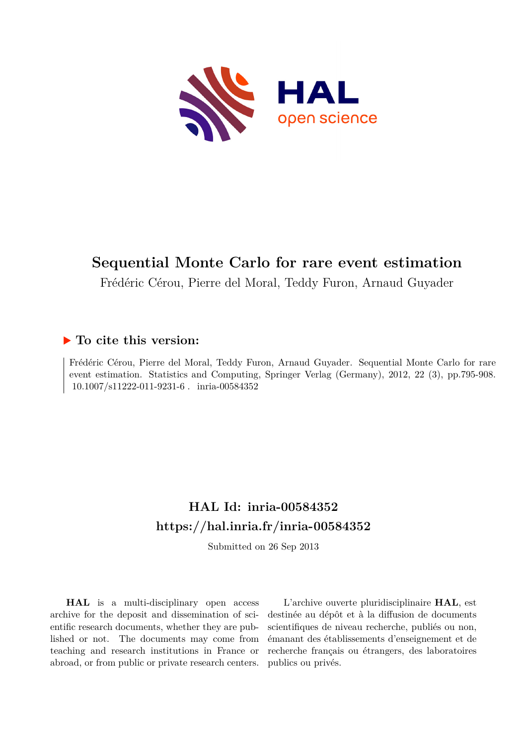

# **Sequential Monte Carlo for rare event estimation**

Frédéric Cérou, Pierre del Moral, Teddy Furon, Arnaud Guyader

# **To cite this version:**

Frédéric Cérou, Pierre del Moral, Teddy Furon, Arnaud Guyader. Sequential Monte Carlo for rare event estimation. Statistics and Computing, Springer Verlag (Germany), 2012, 22 (3), pp.795-908.  $10.1007/s11222-011-9231-6$ . inria-00584352

# **HAL Id: inria-00584352 <https://hal.inria.fr/inria-00584352>**

Submitted on 26 Sep 2013

**HAL** is a multi-disciplinary open access archive for the deposit and dissemination of scientific research documents, whether they are published or not. The documents may come from teaching and research institutions in France or abroad, or from public or private research centers.

L'archive ouverte pluridisciplinaire **HAL**, est destinée au dépôt et à la diffusion de documents scientifiques de niveau recherche, publiés ou non, émanant des établissements d'enseignement et de recherche français ou étrangers, des laboratoires publics ou privés.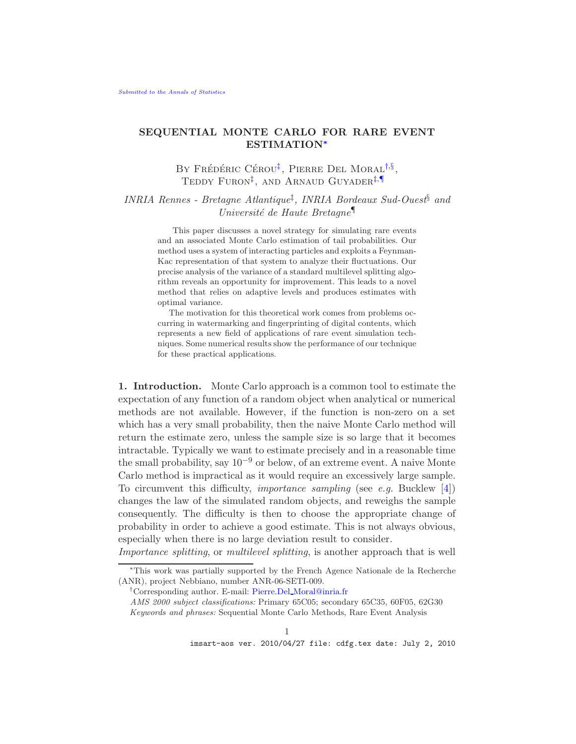# SEQUENTIAL MONTE CARLO FOR RARE EVENT ESTIMATION[∗](#page-1-0)

<span id="page-1-4"></span><span id="page-1-3"></span><span id="page-1-1"></span>BY FRÉDÉRIC CÉROU<sup>[‡](#page-1-1)</sup>, PIERRE DEL MORAL<sup>[†](#page-1-2),[§](#page-1-3)</sup>, TEDDY FURON<sup>[‡](#page-1-1)</sup>, AND ARNAUD GUYADER<sup>‡,[¶](#page-1-4)</sup>

*INRIA Rennes - Bretagne Atlantique*‡ *, INRIA Bordeaux Sud-Ouest*§ *and Université de Haute Bretagne* 

> This paper discusses a novel strategy for simulating rare events and an associated Monte Carlo estimation of tail probabilities. Our method uses a system of interacting particles and exploits a Feynman-Kac representation of that system to analyze their fluctuations. Our precise analysis of the variance of a standard multilevel splitting algorithm reveals an opportunity for improvement. This leads to a novel method that relies on adaptive levels and produces estimates with optimal variance.

> The motivation for this theoretical work comes from problems occurring in watermarking and fingerprinting of digital contents, which represents a new field of applications of rare event simulation techniques. Some numerical results show the performance of our technique for these practical applications.

1. Introduction. Monte Carlo approach is a common tool to estimate the expectation of any function of a random object when analytical or numerical methods are not available. However, if the function is non-zero on a set which has a very small probability, then the naive Monte Carlo method will return the estimate zero, unless the sample size is so large that it becomes intractable. Typically we want to estimate precisely and in a reasonable time the small probability, say  $10^{-9}$  or below, of an extreme event. A naive Monte Carlo method is impractical as it would require an excessively large sample. To circumvent this difficulty, *importance sampling* (see *e.g.* Bucklew [\[4](#page-29-0)]) changes the law of the simulated random objects, and reweighs the sample consequently. The difficulty is then to choose the appropriate change of probability in order to achieve a good estimate. This is not always obvious, especially when there is no large deviation result to consider.

*Importance splitting*, or *multilevel splitting*, is another approach that is well

<span id="page-1-0"></span><sup>∗</sup>This work was partially supported by the French Agence Nationale de la Recherche (ANR), project Nebbiano, number ANR-06-SETI-009.

<span id="page-1-2"></span><sup>&</sup>lt;sup>†</sup>Corresponding author. E-mail: Pierre.Del\_[Moral@inria.fr](mailto:Pierre.Del_Moral@inria.fr)

*AMS 2000 subject classifications:* Primary 65C05; secondary 65C35, 60F05, 62G30 *Keywords and phrases:* Sequential Monte Carlo Methods, Rare Event Analysis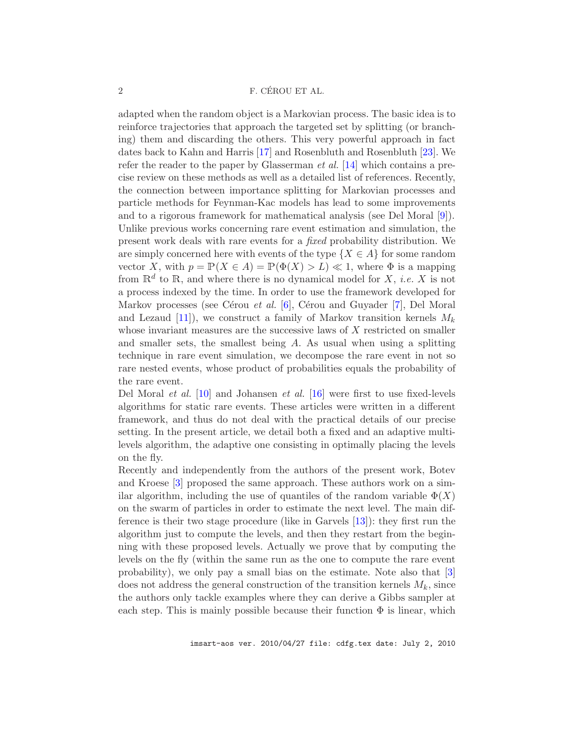adapted when the random object is a Markovian process. The basic idea is to reinforce trajectories that approach the targeted set by splitting (or branching) them and discarding the others. This very powerful approach in fact dates back to Kahn and Harris [\[17](#page-30-0)] and Rosenbluth and Rosenbluth [\[23](#page-30-1)]. We refer the reader to the paper by Glasserman *et al.* [\[14\]](#page-30-2) which contains a precise review on these methods as well as a detailed list of references. Recently, the connection between importance splitting for Markovian processes and particle methods for Feynman-Kac models has lead to some improvements and to a rigorous framework for mathematical analysis (see Del Moral [\[9](#page-29-1)]). Unlike previous works concerning rare event estimation and simulation, the present work deals with rare events for a *fixed* probability distribution. We are simply concerned here with events of the type  $\{X \in A\}$  for some random vector X, with  $p = \mathbb{P}(X \in A) = \mathbb{P}(\Phi(X) > L) \ll 1$ , where  $\Phi$  is a mapping from  $\mathbb{R}^d$  to  $\mathbb{R}$ , and where there is no dynamical model for X, *i.e.* X is not a process indexed by the time. In order to use the framework developed for Markov processes (see Cérou *et al.* [\[6\]](#page-29-2), Cérou and Guyader [\[7](#page-29-3)], Del Moral and Lezaud [\[11\]](#page-30-3)), we construct a family of Markov transition kernels  $M_k$ whose invariant measures are the successive laws of  $X$  restricted on smaller and smaller sets, the smallest being A. As usual when using a splitting technique in rare event simulation, we decompose the rare event in not so rare nested events, whose product of probabilities equals the probability of the rare event.

Del Moral *et al.* [\[10](#page-29-4)] and Johansen *et al.* [\[16](#page-30-4)] were first to use fixed-levels algorithms for static rare events. These articles were written in a different framework, and thus do not deal with the practical details of our precise setting. In the present article, we detail both a fixed and an adaptive multilevels algorithm, the adaptive one consisting in optimally placing the levels on the fly.

Recently and independently from the authors of the present work, Botev and Kroese [\[3\]](#page-29-5) proposed the same approach. These authors work on a similar algorithm, including the use of quantiles of the random variable  $\Phi(X)$ on the swarm of particles in order to estimate the next level. The main difference is their two stage procedure (like in Garvels [\[13](#page-30-5)]): they first run the algorithm just to compute the levels, and then they restart from the beginning with these proposed levels. Actually we prove that by computing the levels on the fly (within the same run as the one to compute the rare event probability), we only pay a small bias on the estimate. Note also that [\[3](#page-29-5)] does not address the general construction of the transition kernels  $M_k$ , since the authors only tackle examples where they can derive a Gibbs sampler at each step. This is mainly possible because their function  $\Phi$  is linear, which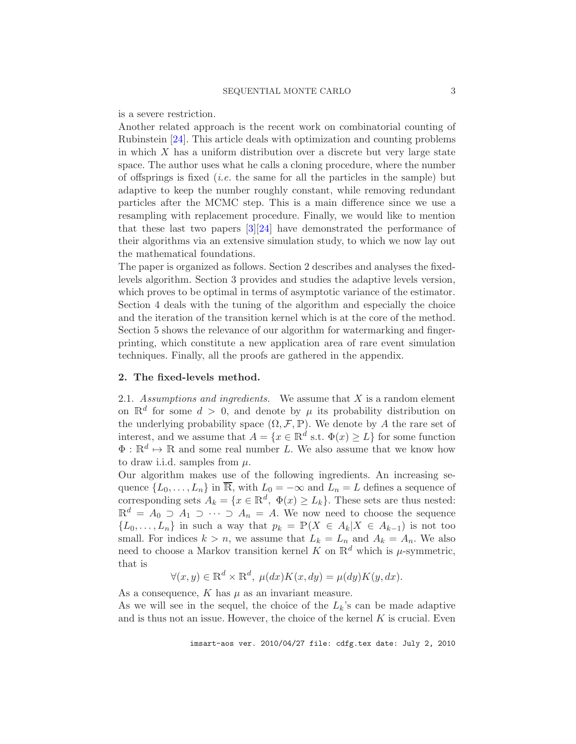is a severe restriction.

Another related approach is the recent work on combinatorial counting of Rubinstein [\[24\]](#page-30-6). This article deals with optimization and counting problems in which  $X$  has a uniform distribution over a discrete but very large state space. The author uses what he calls a cloning procedure, where the number of offsprings is fixed (*i.e.* the same for all the particles in the sample) but adaptive to keep the number roughly constant, while removing redundant particles after the MCMC step. This is a main difference since we use a resampling with replacement procedure. Finally, we would like to mention that these last two papers  $\left[\frac{3}{24}\right]$  have demonstrated the performance of their algorithms via an extensive simulation study, to which we now lay out the mathematical foundations.

The paper is organized as follows. Section 2 describes and analyses the fixedlevels algorithm. Section 3 provides and studies the adaptive levels version, which proves to be optimal in terms of asymptotic variance of the estimator. Section 4 deals with the tuning of the algorithm and especially the choice and the iteration of the transition kernel which is at the core of the method. Section 5 shows the relevance of our algorithm for watermarking and fingerprinting, which constitute a new application area of rare event simulation techniques. Finally, all the proofs are gathered in the appendix.

# <span id="page-3-0"></span>2. The fixed-levels method.

2.1. *Assumptions and ingredients.* We assume that X is a random element on  $\mathbb{R}^d$  for some  $d > 0$ , and denote by  $\mu$  its probability distribution on the underlying probability space  $(\Omega, \mathcal{F}, \mathbb{P})$ . We denote by A the rare set of interest, and we assume that  $A = \{x \in \mathbb{R}^d \text{ s.t. } \Phi(x) \ge L\}$  for some function  $\Phi: \mathbb{R}^d \mapsto \mathbb{R}$  and some real number L. We also assume that we know how to draw i.i.d. samples from  $\mu$ .

Our algorithm makes use of the following ingredients. An increasing sequence  $\{L_0, \ldots, L_n\}$  in  $\overline{\mathbb{R}}$ , with  $L_0 = -\infty$  and  $L_n = L$  defines a sequence of corresponding sets  $A_k = \{x \in \mathbb{R}^d, \ \Phi(x) \ge L_k\}.$  These sets are thus nested:  $\mathbb{R}^d = A_0 \supset A_1 \supset \cdots \supset A_n = A$ . We now need to choose the sequence  $\{L_0, \ldots, L_n\}$  in such a way that  $p_k = \mathbb{P}(X \in A_k | X \in A_{k-1})$  is not too small. For indices  $k > n$ , we assume that  $L_k = L_n$  and  $A_k = A_n$ . We also need to choose a Markov transition kernel K on  $\mathbb{R}^d$  which is  $\mu$ -symmetric, that is

$$
\forall (x, y) \in \mathbb{R}^d \times \mathbb{R}^d, \ \mu(dx)K(x, dy) = \mu(dy)K(y, dx).
$$

As a consequence,  $K$  has  $\mu$  as an invariant measure.

As we will see in the sequel, the choice of the  $L_k$ 's can be made adaptive and is thus not an issue. However, the choice of the kernel  $K$  is crucial. Even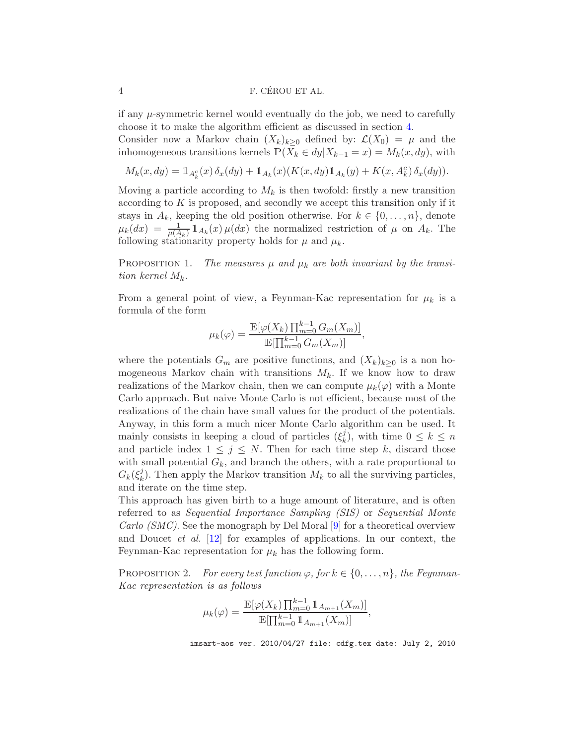if any  $\mu$ -symmetric kernel would eventually do the job, we need to carefully choose it to make the algorithm efficient as discussed in section [4.](#page-11-0)

Consider now a Markov chain  $(X_k)_{k>0}$  defined by:  $\mathcal{L}(X_0) = \mu$  and the inhomogeneous transitions kernels  $P(X_k \in dy | X_{k-1} = x) = M_k(x, dy)$ , with

$$
M_k(x,dy) = \mathbb{1}_{A_k^c}(x)\,\delta_x(dy) + \mathbb{1}_{A_k}(x)(K(x,dy)\mathbb{1}_{A_k}(y) + K(x,A_k^c)\,\delta_x(dy)).
$$

Moving a particle according to  $M_k$  is then twofold: firstly a new transition according to  $K$  is proposed, and secondly we accept this transition only if it stays in  $A_k$ , keeping the old position otherwise. For  $k \in \{0, \ldots, n\}$ , denote  $\mu_k(dx) = \frac{1}{\mu(A_k)} \mathbb{1}_{A_k}(x) \mu(dx)$  the normalized restriction of  $\mu$  on  $A_k$ . The following stationarity property holds for  $\mu$  and  $\mu_k$ .

<span id="page-4-1"></span>PROPOSITION 1. The measures  $\mu$  and  $\mu_k$  are both invariant by the transi*tion kernel*  $M_k$ .

From a general point of view, a Feynman-Kac representation for  $\mu_k$  is a formula of the form

$$
\mu_k(\varphi) = \frac{\mathbb{E}[\varphi(X_k) \prod_{m=0}^{k-1} G_m(X_m)]}{\mathbb{E}[\prod_{m=0}^{k-1} G_m(X_m)]},
$$

where the potentials  $G_m$  are positive functions, and  $(X_k)_{k>0}$  is a non homogeneous Markov chain with transitions  $M_k$ . If we know how to draw realizations of the Markov chain, then we can compute  $\mu_k(\varphi)$  with a Monte Carlo approach. But naive Monte Carlo is not efficient, because most of the realizations of the chain have small values for the product of the potentials. Anyway, in this form a much nicer Monte Carlo algorithm can be used. It mainly consists in keeping a cloud of particles  $(\xi_k^j)$  $\binom{n}{k}$ , with time  $0 \leq k \leq n$ and particle index  $1 \leq j \leq N$ . Then for each time step k, discard those with small potential  $G_k$ , and branch the others, with a rate proportional to  $G_k(\xi_k^j$  $\mathcal{L}_k^j$ ). Then apply the Markov transition  $M_k$  to all the surviving particles, and iterate on the time step.

This approach has given birth to a huge amount of literature, and is often referred to as *Sequential Importance Sampling (SIS)* or *Sequential Monte Carlo (SMC)*. See the monograph by Del Moral [\[9\]](#page-29-1) for a theoretical overview and Doucet *et al.* [\[12](#page-30-7)] for examples of applications. In our context, the Feynman-Kac representation for  $\mu_k$  has the following form.

<span id="page-4-0"></span>PROPOSITION 2. *For every test function*  $\varphi$ *, for*  $k \in \{0, \ldots, n\}$ *, the Feynman-Kac representation is as follows*

$$
\mu_k(\varphi) = \frac{\mathbb{E}[\varphi(X_k) \prod_{m=0}^{k-1} \mathbb{1}_{A_{m+1}}(X_m)]}{\mathbb{E}[\prod_{m=0}^{k-1} \mathbb{1}_{A_{m+1}}(X_m)]},
$$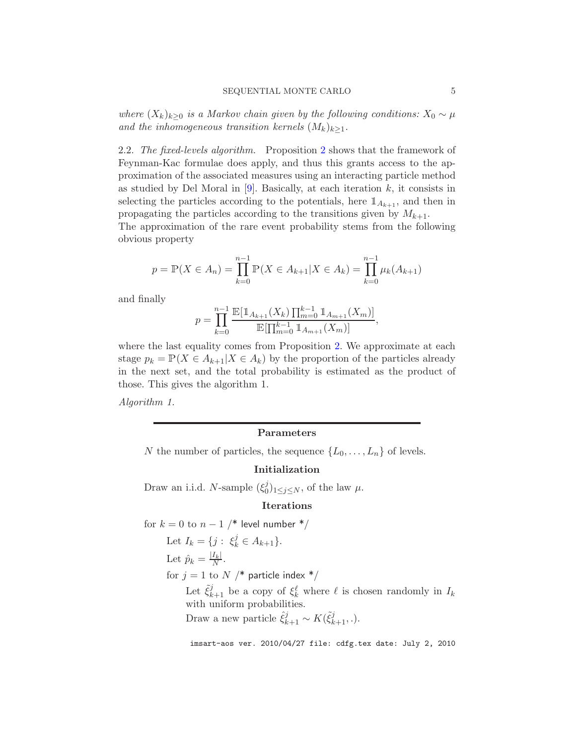*where*  $(X_k)_{k>0}$  *is a Markov chain given by the following conditions:*  $X_0 \sim \mu$ *and the inhomogeneous transition kernels*  $(M_k)_{k>1}$ .

2.2. *The fixed-levels algorithm.* Proposition [2](#page-4-0) shows that the framework of Feynman-Kac formulae does apply, and thus this grants access to the approximation of the associated measures using an interacting particle method as studied by Del Moral in  $[9]$ . Basically, at each iteration k, it consists in selecting the particles according to the potentials, here  $\mathbb{1}_{A_{k+1}}$ , and then in propagating the particles according to the transitions given by  $M_{k+1}$ .

The approximation of the rare event probability stems from the following obvious property

$$
p = \mathbb{P}(X \in A_n) = \prod_{k=0}^{n-1} \mathbb{P}(X \in A_{k+1} | X \in A_k) = \prod_{k=0}^{n-1} \mu_k(A_{k+1})
$$

and finally

$$
p = \prod_{k=0}^{n-1} \frac{\mathbb{E}[\mathbb{1}_{A_{k+1}}(X_k) \prod_{m=0}^{k-1} \mathbb{1}_{A_{m+1}}(X_m)]}{\mathbb{E}[\prod_{m=0}^{k-1} \mathbb{1}_{A_{m+1}}(X_m)]},
$$

where the last equality comes from Proposition [2.](#page-4-0) We approximate at each stage  $p_k = \mathbb{P}(X \in A_{k+1} | X \in A_k)$  by the proportion of the particles already in the next set, and the total probability is estimated as the product of those. This gives the algorithm 1.

*Algorithm 1.*

# Parameters

N the number of particles, the sequence  $\{L_0, \ldots, L_n\}$  of levels.

# Initialization

Draw an i.i.d. *N*-sample  $(\xi_0^j)$  $\omega_0^j|_{1 \leq j \leq N}$ , of the law  $\mu$ .

#### Iterations

for  $k = 0$  to  $n - 1$  /\* level number \*/ Let  $I_k = \{j : \xi_k^j \in A_{k+1}\}.$ Let  $\hat{p}_k = \frac{|I_k|}{N}$  $\frac{I_k|}{N}$ . for  $j = 1$  to N /\* particle index \*/ Let  $\tilde{\xi}_{k+1}^j$  be a copy of  $\xi_k^{\ell}$  where  $\ell$  is chosen randomly in  $I_k$ with uniform probabilities. Draw a new particle  $\hat{\xi}_{k+1}^j \sim K(\tilde{\xi}_{k+1}^j)$ .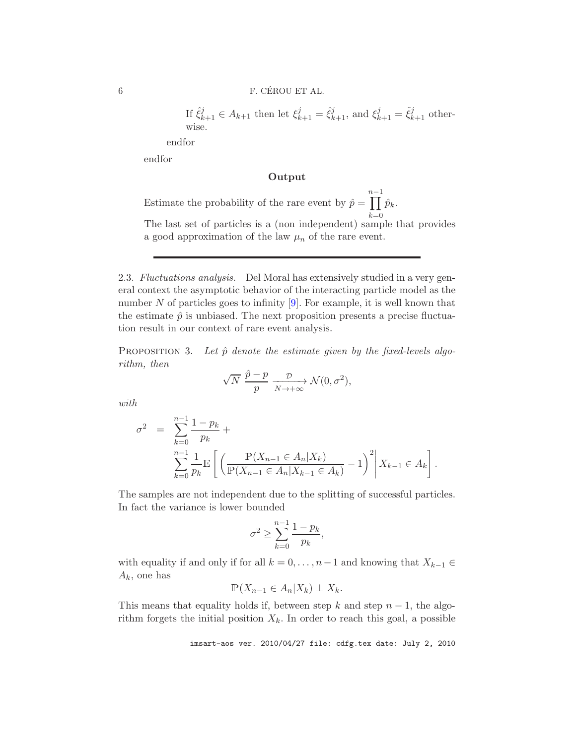If  $\hat{\xi}_{k+1}^j \in A_{k+1}$  then let  $\xi_{k+1}^j = \hat{\xi}_{k+1}^j$ , and  $\xi_{k+1}^j = \tilde{\xi}_{k+1}^j$  otherwise.

endfor

endfor

# Output

Estimate the probability of the rare event by  $\hat{p} =$ n−1<br>∏  $k=0$  $\hat{p}_k.$ 

The last set of particles is a (non independent) sample that provides a good approximation of the law  $\mu_n$  of the rare event.

<span id="page-6-1"></span>2.3. *Fluctuations analysis.* Del Moral has extensively studied in a very general context the asymptotic behavior of the interacting particle model as the number  $N$  of particles goes to infinity [\[9\]](#page-29-1). For example, it is well known that the estimate  $\hat{p}$  is unbiased. The next proposition presents a precise fluctuation result in our context of rare event analysis.

<span id="page-6-0"></span>PROPOSITION 3. Let  $\hat{p}$  denote the estimate given by the fixed-levels algo*rithm, then*

$$
\sqrt{N} \, \frac{\hat{p} - p}{p} \xrightarrow[N \to +\infty]{\mathcal{D}} \mathcal{N}(0, \sigma^2),
$$

*with*

$$
\sigma^2 = \sum_{k=0}^{n-1} \frac{1-p_k}{p_k} + \sum_{\substack{n=1 \ k \equiv 0}}^{n-1} \frac{1}{p_k} \mathbb{E} \left[ \left( \frac{\mathbb{P}(X_{n-1} \in A_n | X_k)}{\mathbb{P}(X_{n-1} \in A_n | X_{k-1} \in A_k)} - 1 \right)^2 \middle| X_{k-1} \in A_k \right].
$$

The samples are not independent due to the splitting of successful particles. In fact the variance is lower bounded

$$
\sigma^2 \ge \sum_{k=0}^{n-1} \frac{1-p_k}{p_k},
$$

with equality if and only if for all  $k = 0, \ldots, n-1$  and knowing that  $X_{k-1} \in$  $A_k$ , one has

$$
\mathbb{P}(X_{n-1}\in A_n|X_k)\perp X_k.
$$

This means that equality holds if, between step k and step  $n-1$ , the algorithm forgets the initial position  $X_k$ . In order to reach this goal, a possible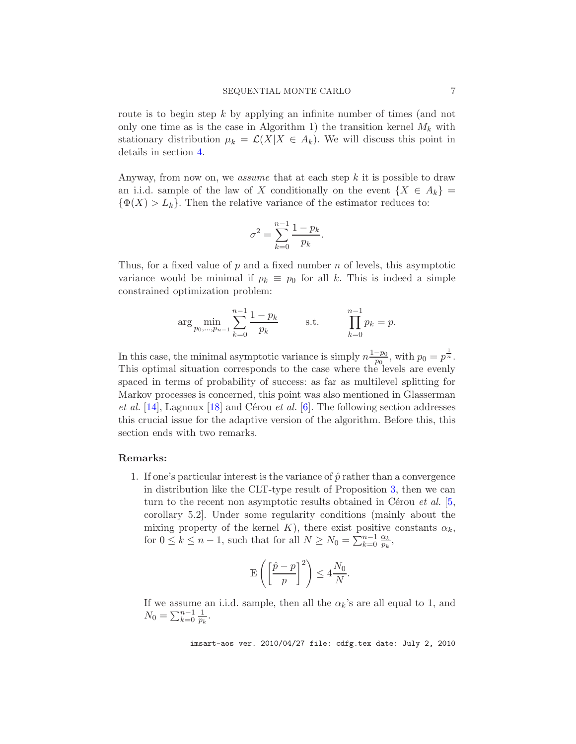route is to begin step k by applying an infinite number of times (and not only one time as is the case in Algorithm 1) the transition kernel  $M_k$  with stationary distribution  $\mu_k = \mathcal{L}(X|X \in A_k)$ . We will discuss this point in details in section [4.](#page-11-0)

Anyway, from now on, we *assume* that at each step k it is possible to draw an i.i.d. sample of the law of X conditionally on the event  $\{X \in A_k\}$  $\{\Phi(X) > L_k\}.$  Then the relative variance of the estimator reduces to:

$$
\sigma^2 = \sum_{k=0}^{n-1} \frac{1 - p_k}{p_k}.
$$

Thus, for a fixed value of  $p$  and a fixed number  $n$  of levels, this asymptotic variance would be minimal if  $p_k \equiv p_0$  for all k. This is indeed a simple constrained optimization problem:

$$
\arg \min_{p_0, \dots, p_{n-1}} \sum_{k=0}^{n-1} \frac{1 - p_k}{p_k} \qquad \text{s.t.} \qquad \prod_{k=0}^{n-1} p_k = p.
$$

In this case, the minimal asymptotic variance is simply  $n \frac{1-p_0}{p_0}$  $\frac{-p_0}{p_0}$ , with  $p_0 = p^{\frac{1}{n}}$ . This optimal situation corresponds to the case where the levels are evenly spaced in terms of probability of success: as far as multilevel splitting for Markov processes is concerned, this point was also mentioned in Glasserman *et al.* [\[14](#page-30-2)], Lagnoux [\[18\]](#page-30-8) and Cérou *et al.* [\[6](#page-29-2)]. The following section addresses this crucial issue for the adaptive version of the algorithm. Before this, this section ends with two remarks.

#### Remarks:

1. If one's particular interest is the variance of  $\hat{p}$  rather than a convergence in distribution like the CLT-type result of Proposition [3,](#page-6-0) then we can turn to the recent non asymptotic results obtained in Cérou *et al.* [\[5](#page-29-6), corollary 5.2]. Under some regularity conditions (mainly about the mixing property of the kernel K), there exist positive constants  $\alpha_k$ , for  $0 \leq k \leq n-1$ , such that for all  $N \geq N_0 = \sum_{k=0}^{n-1} \frac{\alpha_k}{p_k}$  $\frac{\alpha_k}{p_k},$ 

$$
\mathbb{E}\left(\left[\frac{\hat{p}-p}{p}\right]^2\right) \le 4\frac{N_0}{N}.
$$

If we assume an i.i.d. sample, then all the  $\alpha_k$ 's are all equal to 1, and  $N_0 = \sum_{k=0}^{n-1} \frac{1}{p_k}.$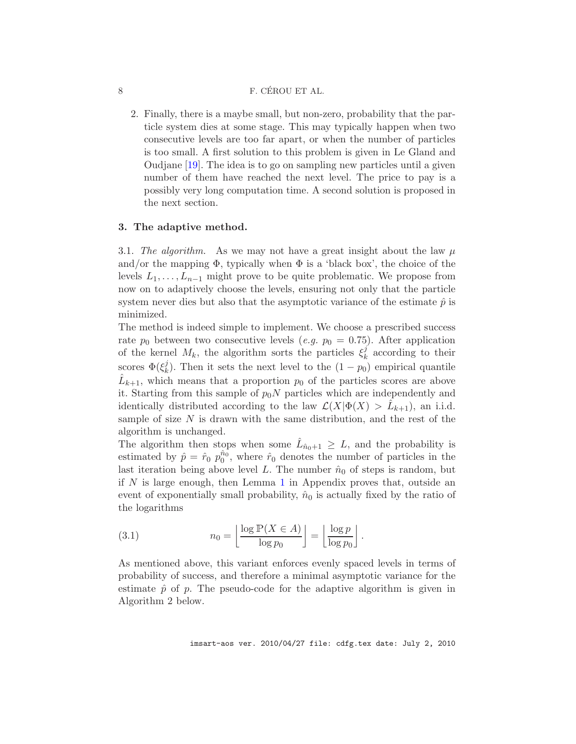#### 8 F. CÉROU ET AL.

2. Finally, there is a maybe small, but non-zero, probability that the particle system dies at some stage. This may typically happen when two consecutive levels are too far apart, or when the number of particles is too small. A first solution to this problem is given in Le Gland and Oudjane [\[19](#page-30-9)]. The idea is to go on sampling new particles until a given number of them have reached the next level. The price to pay is a possibly very long computation time. A second solution is proposed in the next section.

#### 3. The adaptive method.

3.1. The algorithm. As we may not have a great insight about the law  $\mu$ and/or the mapping  $\Phi$ , typically when  $\Phi$  is a 'black box', the choice of the levels  $L_1, \ldots, L_{n-1}$  might prove to be quite problematic. We propose from now on to adaptively choose the levels, ensuring not only that the particle system never dies but also that the asymptotic variance of the estimate  $\hat{p}$  is minimized.

The method is indeed simple to implement. We choose a prescribed success rate  $p_0$  between two consecutive levels (*e.g.*  $p_0 = 0.75$ ). After application of the kernel  $M_k$ , the algorithm sorts the particles  $\xi_k^j$  $\frac{J}{k}$  according to their scores  $\Phi(\xi_k^j)$ <sup> $\ell$ </sup><sub>k</sub>). Then it sets the next level to the  $(1 - p_0)$  empirical quantile  $\hat{L}_{k+1}$ , which means that a proportion  $p_0$  of the particles scores are above it. Starting from this sample of  $p_0N$  particles which are independently and identically distributed according to the law  $\mathcal{L}(X|\Phi(X) > \hat{L}_{k+1})$ , an i.i.d. sample of size  $N$  is drawn with the same distribution, and the rest of the algorithm is unchanged.

The algorithm then stops when some  $\hat{L}_{\hat{n}_0+1} \geq L$ , and the probability is estimated by  $\hat{p} = \hat{r}_0 \hat{p}_0^{\hat{n}_0}$ , where  $\hat{r}_0$  denotes the number of particles in the last iteration being above level L. The number  $\hat{n}_0$  of steps is random, but if  $N$  is large enough, then Lemma [1](#page-26-0) in Appendix proves that, outside an event of exponentially small probability,  $\hat{n}_0$  is actually fixed by the ratio of the logarithms

(3.1) 
$$
n_0 = \left\lfloor \frac{\log \mathbb{P}(X \in A)}{\log p_0} \right\rfloor = \left\lfloor \frac{\log p}{\log p_0} \right\rfloor.
$$

As mentioned above, this variant enforces evenly spaced levels in terms of probability of success, and therefore a minimal asymptotic variance for the estimate  $\hat{p}$  of p. The pseudo-code for the adaptive algorithm is given in Algorithm 2 below.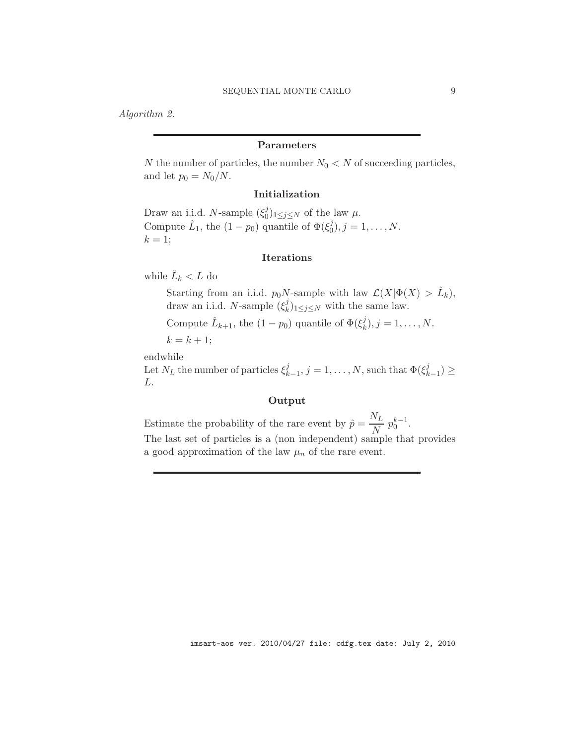*Algorithm 2.*

# Parameters

N the number of particles, the number  $N_0 < N$  of succeeding particles, and let  $p_0 = N_0/N$ .

## Initialization

Draw an i.i.d. N-sample  $(\xi_0^j)$  $\binom{J}{0}$ <sub>1 $\leq j \leq N$ </sub> of the law  $\mu$ . Compute  $\hat{L}_1$ , the  $(1-p_0)$  quantile of  $\Phi(\xi_0^j)$  $_{0}^{j}), j = 1, \ldots, N.$  $k = 1$ ;

# Iterations

while  $\hat{L}_k < L$  do

Starting from an i.i.d.  $p_0N$ -sample with law  $\mathcal{L}(X|\Phi(X) > \hat{L}_k)$ , draw an i.i.d. N-sample  $(\xi_k^j)$  $_{k}^{j}$ <sub>1≤j≤N</sub> with the same law.

Compute  $\hat{L}_{k+1}$ , the  $(1-p_0)$  quantile of  $\Phi(\xi_k^j)$  $\binom{J}{k}, j = 1, \ldots, N.$ 

 $k = k + 1$ ;

endwhile

Let  $N_L$  the number of particles  $\xi_k^j$  $\mathcal{L}_{k-1}^j, j=1,\ldots,N$ , such that  $\Phi(\xi_k^j)$  $_{k-1}^{j})\geq$ L.

# Output

Estimate the probability of the rare event by  $\hat{p} = \frac{N_L}{N}$  $\frac{N}{N} p_0^{k-1}.$ 

The last set of particles is a (non independent) sample that provides a good approximation of the law  $\mu_n$  of the rare event.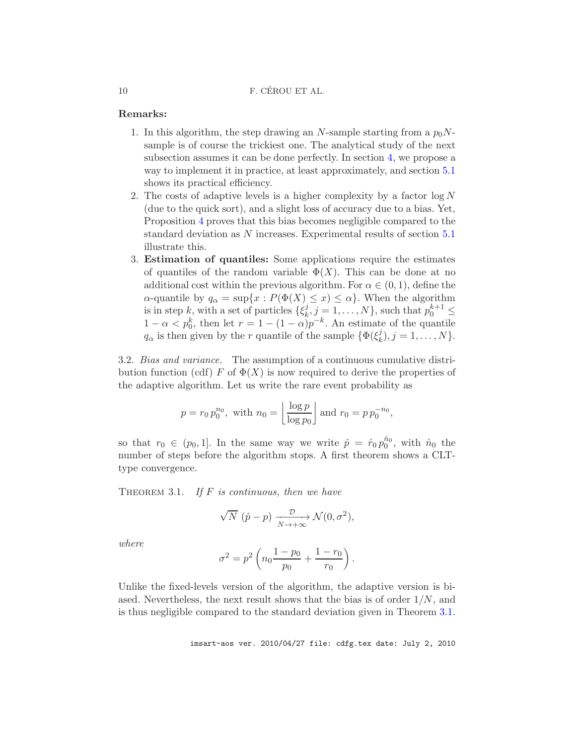### Remarks:

- 1. In this algorithm, the step drawing an N-sample starting from a  $p_0N$ sample is of course the trickiest one. The analytical study of the next subsection assumes it can be done perfectly. In section [4,](#page-11-0) we propose a way to implement it in practice, at least approximately, and section [5.1](#page-15-0) shows its practical efficiency.
- 2. The costs of adaptive levels is a higher complexity by a factor  $\log N$ (due to the quick sort), and a slight loss of accuracy due to a bias. Yet, Proposition [4](#page-11-1) proves that this bias becomes negligible compared to the standard deviation as N increases. Experimental results of section [5.1](#page-15-0) illustrate this.
- 3. Estimation of quantiles: Some applications require the estimates of quantiles of the random variable  $\Phi(X)$ . This can be done at no additional cost within the previous algorithm. For  $\alpha \in (0,1)$ , define the  $\alpha$ -quantile by  $q_{\alpha} = \sup\{x : P(\Phi(X) \leq x) \leq \alpha\}$ . When the algorithm is in step k, with a set of particles  $\{\xi_k^j\}$  $\{x_k^j, j = 1, \ldots, N\}$ , such that  $p_0^{k+1} \leq$  $1 - \alpha < p_0^k$ , then let  $r = 1 - (1 - \alpha)p^{-k}$ . An estimate of the quantile  $q_{\alpha}$  is then given by the r quantile of the sample  $\{\Phi(\xi_k^j)\}$  $_{k}^{j}), j = 1, \ldots, N$ .

3.2. *Bias and variance.* The assumption of a continuous cumulative distribution function (cdf) F of  $\Phi(X)$  is now required to derive the properties of the adaptive algorithm. Let us write the rare event probability as

$$
p = r_0 p_0^{n_0}
$$
, with  $n_0 = \left\lfloor \frac{\log p}{\log p_0} \right\rfloor$  and  $r_0 = p p_0^{-n_0}$ ,

so that  $r_0 \in (p_0, 1]$ . In the same way we write  $\hat{p} = \hat{r}_0 p_0^{\hat{n}_0}$ , with  $\hat{n}_0$  the number of steps before the algorithm stops. A first theorem shows a CLTtype convergence.

<span id="page-10-0"></span>Theorem 3.1. *If* F *is continuous, then we have*

$$
\sqrt{N} \, (\hat{p} - p) \xrightarrow[N \to +\infty]{\mathcal{D}} \mathcal{N}(0, \sigma^2),
$$

*where*

$$
\sigma^2 = p^2 \left( n_0 \frac{1 - p_0}{p_0} + \frac{1 - r_0}{r_0} \right).
$$

Unlike the fixed-levels version of the algorithm, the adaptive version is biased. Nevertheless, the next result shows that the bias is of order  $1/N$ , and is thus negligible compared to the standard deviation given in Theorem [3.1.](#page-10-0)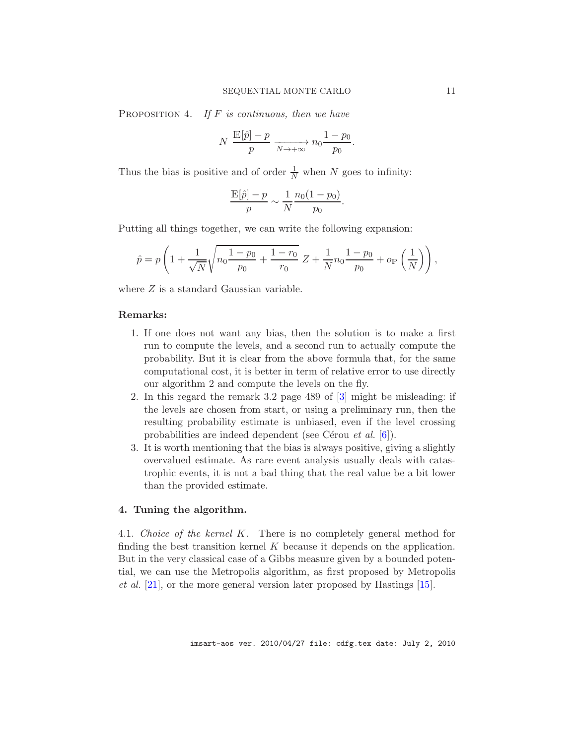<span id="page-11-1"></span>Proposition 4. *If* F *is continuous, then we have*

$$
N \frac{\mathbb{E}[\hat{p}] - p}{p} \xrightarrow[N \to +\infty]{} n_0 \frac{1 - p_0}{p_0}.
$$

Thus the bias is positive and of order  $\frac{1}{N}$  when N goes to infinity:

$$
\frac{\mathbb{E}[\hat{p}]-p}{p} \sim \frac{1}{N} \frac{n_0(1-p_0)}{p_0}.
$$

Putting all things together, we can write the following expansion:

$$
\hat{p} = p \left( 1 + \frac{1}{\sqrt{N}} \sqrt{n_0 \frac{1 - p_0}{p_0} + \frac{1 - r_0}{r_0}} Z + \frac{1}{N} n_0 \frac{1 - p_0}{p_0} + o_{\mathbb{P}} \left( \frac{1}{N} \right) \right),
$$

where  $Z$  is a standard Gaussian variable.

## Remarks:

- 1. If one does not want any bias, then the solution is to make a first run to compute the levels, and a second run to actually compute the probability. But it is clear from the above formula that, for the same computational cost, it is better in term of relative error to use directly our algorithm 2 and compute the levels on the fly.
- 2. In this regard the remark 3.2 page 489 of [\[3](#page-29-5)] might be misleading: if the levels are chosen from start, or using a preliminary run, then the resulting probability estimate is unbiased, even if the level crossing probabilities are indeed dependent (see Cérou *et al.* [\[6](#page-29-2)]).
- 3. It is worth mentioning that the bias is always positive, giving a slightly overvalued estimate. As rare event analysis usually deals with catastrophic events, it is not a bad thing that the real value be a bit lower than the provided estimate.

#### <span id="page-11-0"></span>4. Tuning the algorithm.

4.1. *Choice of the kernel* K*.* There is no completely general method for finding the best transition kernel  $K$  because it depends on the application. But in the very classical case of a Gibbs measure given by a bounded potential, we can use the Metropolis algorithm, as first proposed by Metropolis *et al.* [\[21\]](#page-30-10), or the more general version later proposed by Hastings [\[15](#page-30-11)].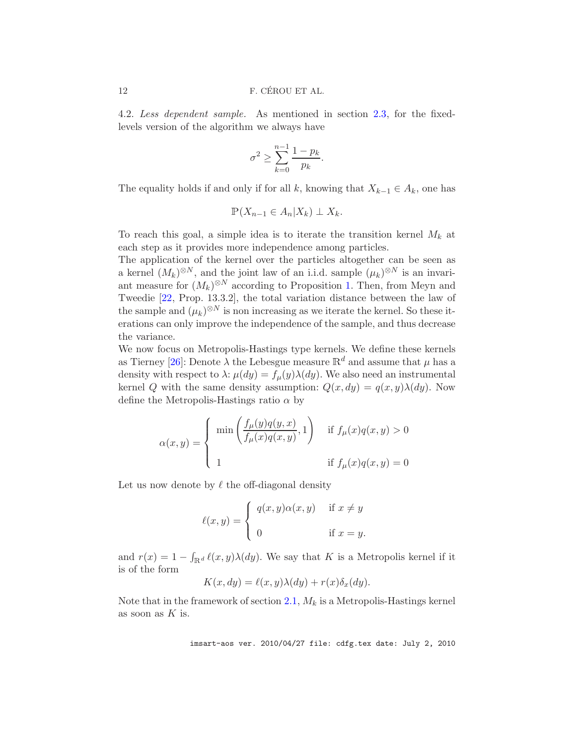4.2. *Less dependent sample.* As mentioned in section [2.3,](#page-6-1) for the fixedlevels version of the algorithm we always have

$$
\sigma^2 \ge \sum_{k=0}^{n-1} \frac{1 - p_k}{p_k}
$$

.

The equality holds if and only if for all k, knowing that  $X_{k-1} \in A_k$ , one has

$$
\mathbb{P}(X_{n-1}\in A_n|X_k)\perp X_k.
$$

To reach this goal, a simple idea is to iterate the transition kernel  $M_k$  at each step as it provides more independence among particles.

The application of the kernel over the particles altogether can be seen as a kernel  $(M_k)^{\otimes N}$ , and the joint law of an i.i.d. sample  $(\mu_k)^{\otimes N}$  is an invariant measure for  $(M_k)^{\otimes N}$  according to Proposition [1.](#page-4-1) Then, from Meyn and Tweedie [\[22](#page-30-12), Prop. 13.3.2], the total variation distance between the law of the sample and  $(\mu_k)^{\otimes N}$  is non increasing as we iterate the kernel. So these iterations can only improve the independence of the sample, and thus decrease the variance.

We now focus on Metropolis-Hastings type kernels. We define these kernels as Tierney [\[26](#page-30-13)]: Denote  $\lambda$  the Lebesgue measure  $\mathbb{R}^d$  and assume that  $\mu$  has a density with respect to  $\lambda$ :  $\mu(dy) = f_{\mu}(y)\lambda(dy)$ . We also need an instrumental kernel Q with the same density assumption:  $Q(x, dy) = q(x, y)\lambda(dy)$ . Now define the Metropolis-Hastings ratio  $\alpha$  by

$$
\alpha(x,y) = \begin{cases} \min\left(\frac{f_{\mu}(y)q(y,x)}{f_{\mu}(x)q(x,y)},1\right) & \text{if } f_{\mu}(x)q(x,y) > 0 \\ 1 & \text{if } f_{\mu}(x)q(x,y) = 0 \end{cases}
$$

Let us now denote by  $\ell$  the off-diagonal density

$$
\ell(x,y) = \begin{cases} q(x,y)\alpha(x,y) & \text{if } x \neq y \\ 0 & \text{if } x = y. \end{cases}
$$

and  $r(x) = 1 - \int_{\mathbb{R}^d} \ell(x, y) \lambda(dy)$ . We say that K is a Metropolis kernel if it is of the form

$$
K(x, dy) = \ell(x, y)\lambda(dy) + r(x)\delta_x(dy).
$$

Note that in the framework of section [2.1,](#page-3-0)  $M_k$  is a Metropolis-Hastings kernel as soon as  $K$  is.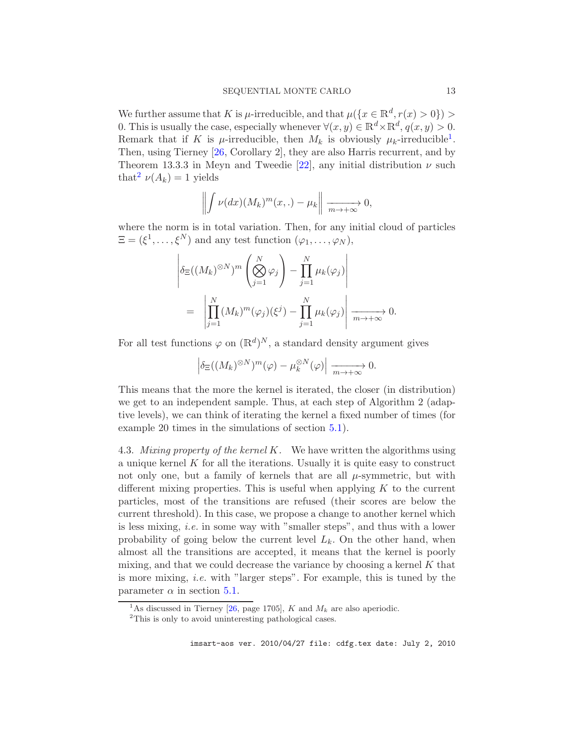We further assume that K is  $\mu$ -irreducible, and that  $\mu({x \in \mathbb{R}^d, r(x) > 0}) >$ 0. This is usually the case, especially whenever  $\forall (x, y) \in \mathbb{R}^d \times \mathbb{R}^d$ ,  $q(x, y) > 0$ . Remark that if K is  $\mu$ -irreducible, then  $M_k$  is obviously  $\mu_k$ -irreducible<sup>[1](#page-13-0)</sup>. Then, using Tierney [\[26](#page-30-13), Corollary 2], they are also Harris recurrent, and by Theorem 13.3.3 in Meyn and Tweedie [\[22\]](#page-30-12), any initial distribution  $\nu$  such that<sup>[2](#page-13-1)</sup>  $\nu(A_k) = 1$  yields

$$
\left\| \int \nu(dx) (M_k)^m(x,.) - \mu_k \right\| \xrightarrow[m \to +\infty]{} 0,
$$

where the norm is in total variation. Then, for any initial cloud of particles  $\Xi = (\xi^1, \ldots, \xi^N)$  and any test function  $(\varphi_1, \ldots, \varphi_N)$ ,

$$
\left| \delta_{\Xi}((M_k)^{\otimes N})^m \left( \bigotimes_{j=1}^N \varphi_j \right) - \prod_{j=1}^N \mu_k(\varphi_j) \right|
$$
  
= 
$$
\left| \prod_{j=1}^N (M_k)^m(\varphi_j)(\xi^j) - \prod_{j=1}^N \mu_k(\varphi_j) \right| \xrightarrow[m \to +\infty]{} 0.
$$

For all test functions  $\varphi$  on  $(\mathbb{R}^d)^N$ , a standard density argument gives

$$
\left| \delta_{\Xi} ((M_k)^{\otimes N})^m (\varphi) - \mu_k^{\otimes N} (\varphi) \right| \xrightarrow[m \to +\infty]{} 0.
$$

This means that the more the kernel is iterated, the closer (in distribution) we get to an independent sample. Thus, at each step of Algorithm 2 (adaptive levels), we can think of iterating the kernel a fixed number of times (for example 20 times in the simulations of section [5.1\)](#page-15-0).

<span id="page-13-2"></span>4.3. *Mixing property of the kernel* K*.* We have written the algorithms using a unique kernel  $K$  for all the iterations. Usually it is quite easy to construct not only one, but a family of kernels that are all  $\mu$ -symmetric, but with different mixing properties. This is useful when applying  $K$  to the current particles, most of the transitions are refused (their scores are below the current threshold). In this case, we propose a change to another kernel which is less mixing, *i.e.* in some way with "smaller steps", and thus with a lower probability of going below the current level  $L_k$ . On the other hand, when almost all the transitions are accepted, it means that the kernel is poorly mixing, and that we could decrease the variance by choosing a kernel  $K$  that is more mixing, *i.e.* with "larger steps". For example, this is tuned by the parameter  $\alpha$  in section [5.1.](#page-15-0)

<sup>&</sup>lt;sup>1</sup>As discussed in Tierney [\[26](#page-30-13), page 1705], K and  $M_k$  are also aperiodic.

<span id="page-13-1"></span><span id="page-13-0"></span><sup>2</sup>This is only to avoid uninteresting pathological cases.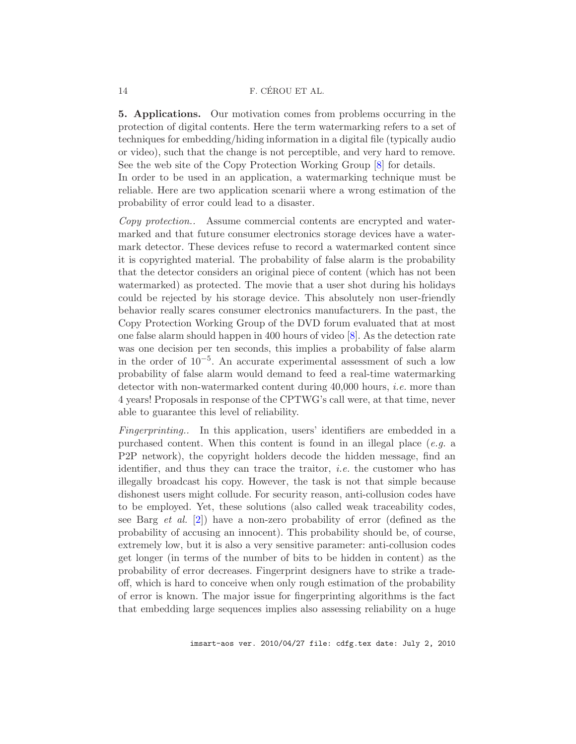#### 14 **F. CÉROU ET AL.**

5. Applications. Our motivation comes from problems occurring in the protection of digital contents. Here the term watermarking refers to a set of techniques for embedding/hiding information in a digital file (typically audio or video), such that the change is not perceptible, and very hard to remove. See the web site of the Copy Protection Working Group [\[8\]](#page-29-7) for details.

In order to be used in an application, a watermarking technique must be reliable. Here are two application scenarii where a wrong estimation of the probability of error could lead to a disaster.

*Copy protection..* Assume commercial contents are encrypted and watermarked and that future consumer electronics storage devices have a watermark detector. These devices refuse to record a watermarked content since it is copyrighted material. The probability of false alarm is the probability that the detector considers an original piece of content (which has not been watermarked) as protected. The movie that a user shot during his holidays could be rejected by his storage device. This absolutely non user-friendly behavior really scares consumer electronics manufacturers. In the past, the Copy Protection Working Group of the DVD forum evaluated that at most one false alarm should happen in 400 hours of video [\[8](#page-29-7)]. As the detection rate was one decision per ten seconds, this implies a probability of false alarm in the order of 10−<sup>5</sup> . An accurate experimental assessment of such a low probability of false alarm would demand to feed a real-time watermarking detector with non-watermarked content during 40,000 hours, *i.e.* more than 4 years! Proposals in response of the CPTWG's call were, at that time, never able to guarantee this level of reliability.

*Fingerprinting..* In this application, users' identifiers are embedded in a purchased content. When this content is found in an illegal place (*e.g.* a P2P network), the copyright holders decode the hidden message, find an identifier, and thus they can trace the traitor, *i.e.* the customer who has illegally broadcast his copy. However, the task is not that simple because dishonest users might collude. For security reason, anti-collusion codes have to be employed. Yet, these solutions (also called weak traceability codes, see Barg *et al.* [\[2](#page-29-8)]) have a non-zero probability of error (defined as the probability of accusing an innocent). This probability should be, of course, extremely low, but it is also a very sensitive parameter: anti-collusion codes get longer (in terms of the number of bits to be hidden in content) as the probability of error decreases. Fingerprint designers have to strike a tradeoff, which is hard to conceive when only rough estimation of the probability of error is known. The major issue for fingerprinting algorithms is the fact that embedding large sequences implies also assessing reliability on a huge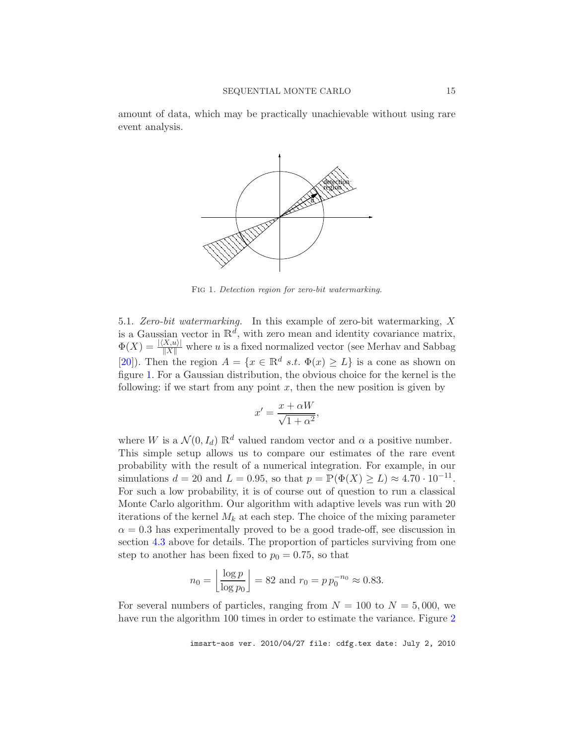<span id="page-15-0"></span>amount of data, which may be practically unachievable without using rare event analysis.



<span id="page-15-1"></span>Fig 1*. Detection region for zero-bit watermarking.*

5.1. *Zero-bit watermarking.* In this example of zero-bit watermarking, X is a Gaussian vector in  $\mathbb{R}^d$ , with zero mean and identity covariance matrix,  $\Phi(X) = \frac{|\langle X, u \rangle|}{\|X\|}$  where u is a fixed normalized vector (see Merhav and Sabbag [\[20\]](#page-30-14)). Then the region  $A = \{x \in \mathbb{R}^d \text{ s.t. } \Phi(x) \geq L\}$  is a cone as shown on figure [1.](#page-15-1) For a Gaussian distribution, the obvious choice for the kernel is the following: if we start from any point  $x$ , then the new position is given by

$$
x' = \frac{x + \alpha W}{\sqrt{1 + \alpha^2}},
$$

where W is a  $\mathcal{N}(0, I_d) \mathbb{R}^d$  valued random vector and  $\alpha$  a positive number. This simple setup allows us to compare our estimates of the rare event probability with the result of a numerical integration. For example, in our simulations  $d = 20$  and  $L = 0.95$ , so that  $p = \mathbb{P}(\Phi(X) \ge L) \approx 4.70 \cdot 10^{-11}$ . For such a low probability, it is of course out of question to run a classical Monte Carlo algorithm. Our algorithm with adaptive levels was run with 20 iterations of the kernel  $M_k$  at each step. The choice of the mixing parameter  $\alpha = 0.3$  has experimentally proved to be a good trade-off, see discussion in section [4.3](#page-13-2) above for details. The proportion of particles surviving from one step to another has been fixed to  $p_0 = 0.75$ , so that

$$
n_0 = \left\lfloor \frac{\log p}{\log p_0} \right\rfloor = 82
$$
 and  $r_0 = p p_0^{-n_0} \approx 0.83$ .

For several numbers of particles, ranging from  $N = 100$  to  $N = 5,000$ , we have run the algorithm 100 times in order to estimate the variance. Figure [2](#page-16-0)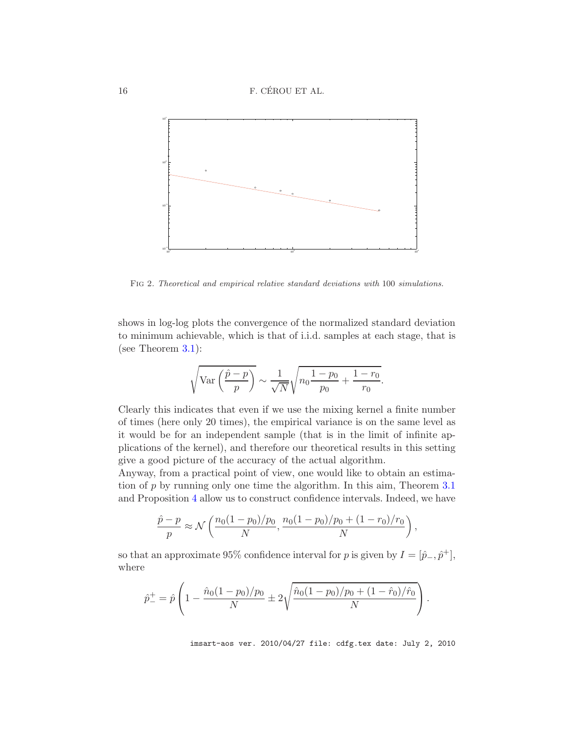

<span id="page-16-0"></span>Fig 2*. Theoretical and empirical relative standard deviations with* 100 *simulations.*

shows in log-log plots the convergence of the normalized standard deviation to minimum achievable, which is that of i.i.d. samples at each stage, that is (see Theorem [3.1\)](#page-10-0):

$$
\sqrt{\text{Var}\left(\frac{\hat{p}-p}{p}\right)} \sim \frac{1}{\sqrt{N}}\sqrt{n_0\frac{1-p_0}{p_0} + \frac{1-r_0}{r_0}}.
$$

Clearly this indicates that even if we use the mixing kernel a finite number of times (here only 20 times), the empirical variance is on the same level as it would be for an independent sample (that is in the limit of infinite applications of the kernel), and therefore our theoretical results in this setting give a good picture of the accuracy of the actual algorithm.

Anyway, from a practical point of view, one would like to obtain an estimation of p by running only one time the algorithm. In this aim, Theorem [3.1](#page-10-0) and Proposition [4](#page-11-1) allow us to construct confidence intervals. Indeed, we have

$$
\frac{\hat{p} - p}{p} \approx \mathcal{N}\left(\frac{n_0(1 - p_0)/p_0}{N}, \frac{n_0(1 - p_0)/p_0 + (1 - r_0)/r_0}{N}\right),
$$

so that an approximate 95% confidence interval for p is given by  $I = [\hat{p}_-, \hat{p}^+]$ , where

$$
\hat{p}_{-}^{\dagger} = \hat{p} \left( 1 - \frac{\hat{n}_0 (1 - p_0) / p_0}{N} \pm 2 \sqrt{\frac{\hat{n}_0 (1 - p_0) / p_0 + (1 - \hat{r}_0) / \hat{r}_0}{N}} \right).
$$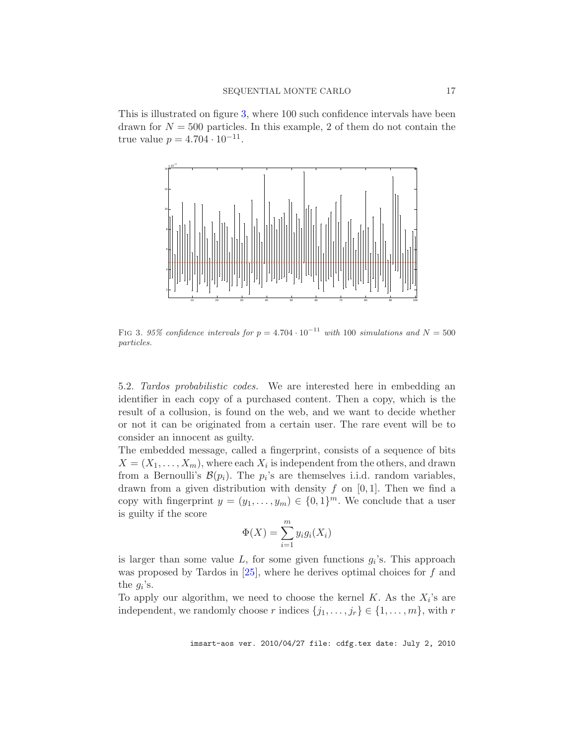This is illustrated on figure [3,](#page-17-0) where 100 such confidence intervals have been drawn for  $N = 500$  particles. In this example, 2 of them do not contain the true value  $p = 4.704 \cdot 10^{-11}$ .



<span id="page-17-0"></span>FIG 3*. 95% confidence intervals for*  $p = 4.704 \cdot 10^{-11}$  *with* 100 *simulations and*  $N = 500$ *particles.*

5.2. *Tardos probabilistic codes.* We are interested here in embedding an identifier in each copy of a purchased content. Then a copy, which is the result of a collusion, is found on the web, and we want to decide whether or not it can be originated from a certain user. The rare event will be to consider an innocent as guilty.

The embedded message, called a fingerprint, consists of a sequence of bits  $X = (X_1, \ldots, X_m)$ , where each  $X_i$  is independent from the others, and drawn from a Bernoulli's  $\mathcal{B}(p_i)$ . The  $p_i$ 's are themselves i.i.d. random variables, drawn from a given distribution with density  $f$  on  $[0, 1]$ . Then we find a copy with fingerprint  $y = (y_1, \ldots, y_m) \in \{0, 1\}^m$ . We conclude that a user is guilty if the score

$$
\Phi(X) = \sum_{i=1}^{m} y_i g_i(X_i)
$$

is larger than some value  $L$ , for some given functions  $g_i$ 's. This approach was proposed by Tardos in  $[25]$ , where he derives optimal choices for f and the  $g_i$ 's.

To apply our algorithm, we need to choose the kernel  $K$ . As the  $X_i$ 's are independent, we randomly choose r indices  $\{j_1, \ldots, j_r\} \in \{1, \ldots, m\}$ , with r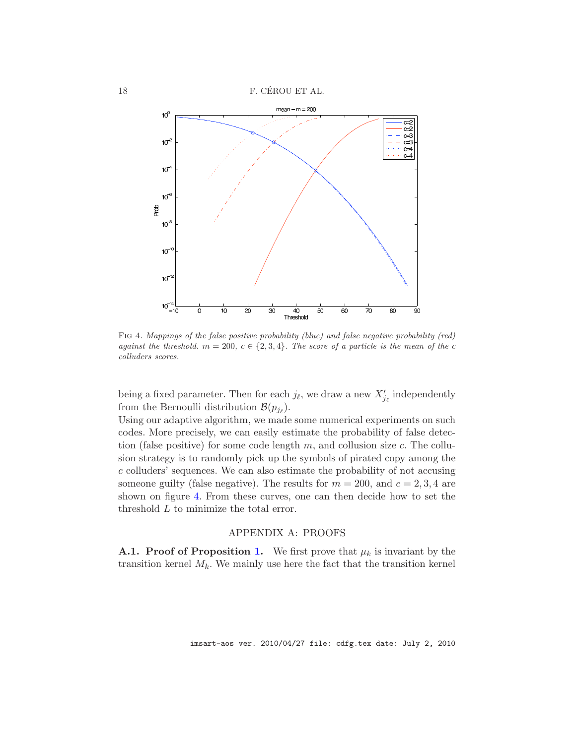18 F. CÉROU ET AL.



<span id="page-18-0"></span>Fig 4*. Mappings of the false positive probability (blue) and false negative probability (red) against the threshold.*  $m = 200, c \in \{2, 3, 4\}$ . The score of a particle is the mean of the c *colluders scores.*

being a fixed parameter. Then for each  $j_{\ell}$ , we draw a new  $X'_{j_{\ell}}$  independently from the Bernoulli distribution  $\mathcal{B}(p_{j_\ell}).$ 

Using our adaptive algorithm, we made some numerical experiments on such codes. More precisely, we can easily estimate the probability of false detection (false positive) for some code length  $m$ , and collusion size  $c$ . The collusion strategy is to randomly pick up the symbols of pirated copy among the c colluders' sequences. We can also estimate the probability of not accusing someone guilty (false negative). The results for  $m = 200$ , and  $c = 2, 3, 4$  are shown on figure [4.](#page-18-0) From these curves, one can then decide how to set the threshold L to minimize the total error.

# APPENDIX A: PROOFS

**A.[1.](#page-4-1) Proof of Proposition 1.** We first prove that  $\mu_k$  is invariant by the transition kernel  $M_k$ . We mainly use here the fact that the transition kernel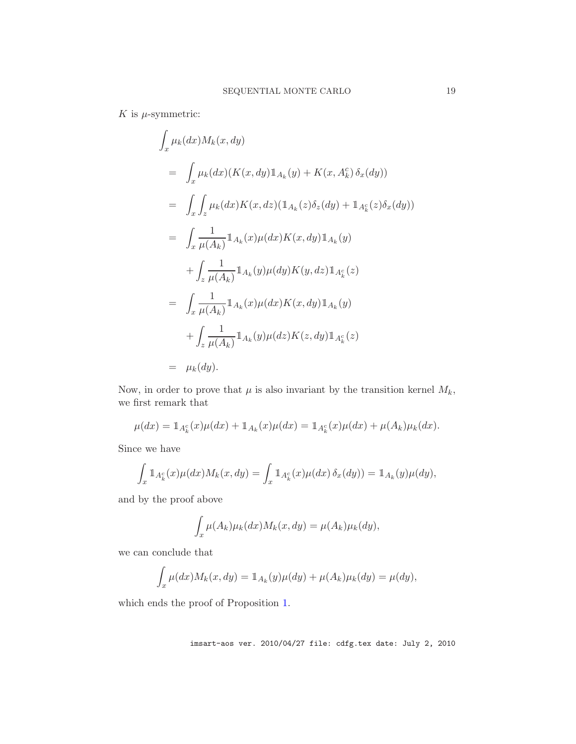$K$  is  $\mu$ -symmetric:

$$
\int_{x} \mu_{k}(dx) M_{k}(x, dy)
$$
\n
$$
= \int_{x} \mu_{k}(dx) (K(x, dy) \mathbb{1}_{A_{k}}(y) + K(x, A_{k}^{c}) \delta_{x}(dy))
$$
\n
$$
= \int_{x} \int_{z} \mu_{k}(dx) K(x, dz) (\mathbb{1}_{A_{k}}(z) \delta_{z}(dy) + \mathbb{1}_{A_{k}^{c}}(z) \delta_{x}(dy))
$$
\n
$$
= \int_{x} \frac{1}{\mu(A_{k})} \mathbb{1}_{A_{k}}(x) \mu(dx) K(x, dy) \mathbb{1}_{A_{k}}(y)
$$
\n
$$
+ \int_{z} \frac{1}{\mu(A_{k})} \mathbb{1}_{A_{k}}(y) \mu(dy) K(y, dz) \mathbb{1}_{A_{k}^{c}}(z)
$$
\n
$$
= \int_{x} \frac{1}{\mu(A_{k})} \mathbb{1}_{A_{k}}(x) \mu(dx) K(x, dy) \mathbb{1}_{A_{k}}(y)
$$
\n
$$
+ \int_{z} \frac{1}{\mu(A_{k})} \mathbb{1}_{A_{k}}(y) \mu(dz) K(z, dy) \mathbb{1}_{A_{k}^{c}}(z)
$$
\n
$$
= \mu_{k}(dy).
$$

Now, in order to prove that  $\mu$  is also invariant by the transition kernel  $M_k$ , we first remark that

$$
\mu(dx) = \mathbb{1}_{A_k^c}(x)\mu(dx) + \mathbb{1}_{A_k}(x)\mu(dx) = \mathbb{1}_{A_k^c}(x)\mu(dx) + \mu(A_k)\mu_k(dx).
$$

Since we have

$$
\int_x \mathbb{1}_{A_k^c}(x)\mu(dx)M_k(x,dy) = \int_x \mathbb{1}_{A_k^c}(x)\mu(dx)\,\delta_x(dy)) = \mathbb{1}_{A_k}(y)\mu(dy),
$$

and by the proof above

$$
\int_x \mu(A_k)\mu_k(dx)M_k(x,dy) = \mu(A_k)\mu_k(dy),
$$

we can conclude that

$$
\int_x \mu(dx) M_k(x, dy) = \mathbb{1}_{A_k}(y) \mu(dy) + \mu(A_k) \mu_k(dy) = \mu(dy),
$$

which ends the proof of Proposition [1.](#page-4-1)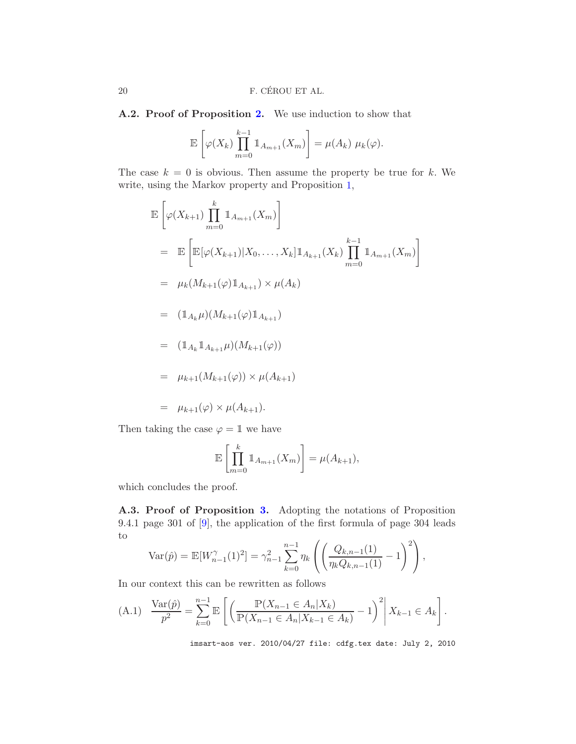A.2. Proof of Proposition [2.](#page-4-0) We use induction to show that

$$
\mathbb{E}\left[\varphi(X_k)\prod_{m=0}^{k-1}\mathbb{1}_{A_{m+1}}(X_m)\right]=\mu(A_k)\,\,\mu_k(\varphi).
$$

The case  $k = 0$  is obvious. Then assume the property be true for k. We write, using the Markov property and Proposition [1,](#page-4-1)

$$
\mathbb{E}\left[\varphi(X_{k+1})\prod_{m=0}^{k} \mathbb{1}_{A_{m+1}}(X_m)\right]
$$
\n
$$
= \mathbb{E}\left[\mathbb{E}[\varphi(X_{k+1})|X_0,\ldots,X_k]\mathbb{1}_{A_{k+1}}(X_k)\prod_{m=0}^{k-1} \mathbb{1}_{A_{m+1}}(X_m)\right]
$$
\n
$$
= \mu_k(M_{k+1}(\varphi)\mathbb{1}_{A_{k+1}}) \times \mu(A_k)
$$
\n
$$
= (\mathbb{1}_{A_k}\mu)(M_{k+1}(\varphi)\mathbb{1}_{A_{k+1}})
$$
\n
$$
= (\mathbb{1}_{A_k}\mathbb{1}_{A_{k+1}}\mu)(M_{k+1}(\varphi))
$$
\n
$$
= \mu_{k+1}(M_{k+1}(\varphi)) \times \mu(A_{k+1})
$$
\n
$$
= \mu_{k+1}(\varphi) \times \mu(A_{k+1}).
$$

Then taking the case  $\varphi = \mathbb{1}$  we have

$$
\mathbb{E}\left[\prod_{m=0}^k \mathbb{1}_{A_{m+1}}(X_m)\right] = \mu(A_{k+1}),
$$

which concludes the proof.

A.3. Proof of Proposition [3.](#page-6-0) Adopting the notations of Proposition 9.4.1 page 301 of [\[9\]](#page-29-1), the application of the first formula of page 304 leads to

$$
\text{Var}(\hat{p}) = \mathbb{E}[W_{n-1}^{\gamma}(1)^2] = \gamma_{n-1}^2 \sum_{k=0}^{n-1} \eta_k \left( \left( \frac{Q_{k,n-1}(1)}{\eta_k Q_{k,n-1}(1)} - 1 \right)^2 \right),
$$

In our context this can be rewritten as follows

<span id="page-20-0"></span>(A.1) 
$$
\frac{\text{Var}(\hat{p})}{p^2} = \sum_{k=0}^{n-1} \mathbb{E}\left[\left(\frac{\mathbb{P}(X_{n-1} \in A_n | X_k)}{\mathbb{P}(X_{n-1} \in A_n | X_{k-1} \in A_k)} - 1\right)^2 \middle| X_{k-1} \in A_k\right].
$$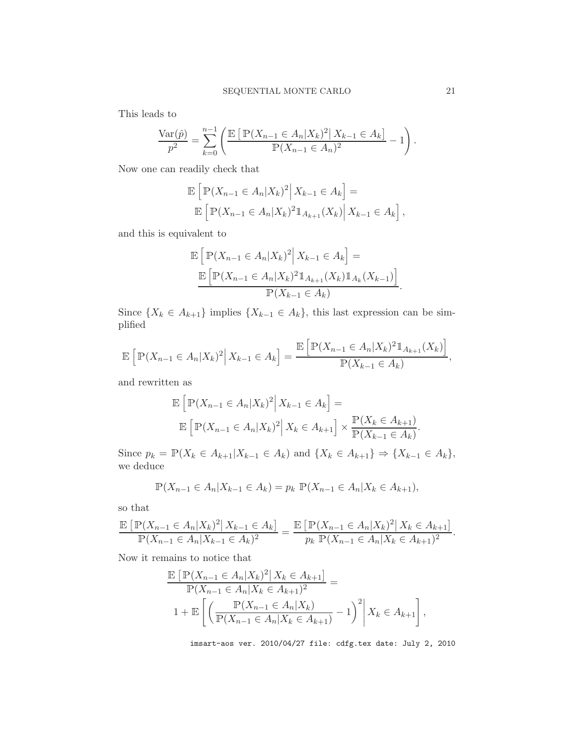This leads to

$$
\frac{\text{Var}(\hat{p})}{p^2} = \sum_{k=0}^{n-1} \left( \frac{\mathbb{E}\left[ \mathbb{P}(X_{n-1} \in A_n | X_k)^2 | X_{k-1} \in A_k \right]}{\mathbb{P}(X_{n-1} \in A_n)^2} - 1 \right).
$$

Now one can readily check that

$$
\mathbb{E}\left[\mathbb{P}(X_{n-1} \in A_n | X_k)^2 \middle| X_{k-1} \in A_k\right] =
$$
  

$$
\mathbb{E}\left[\mathbb{P}(X_{n-1} \in A_n | X_k)^2 \mathbb{1}_{A_{k+1}}(X_k) \middle| X_{k-1} \in A_k\right],
$$

and this is equivalent to

$$
\mathbb{E}\left[\mathbb{P}(X_{n-1} \in A_n | X_k)^2 \middle| X_{k-1} \in A_k\right] =
$$

$$
\frac{\mathbb{E}\left[\mathbb{P}(X_{n-1} \in A_n | X_k)^2 \mathbb{1}_{A_{k+1}}(X_k) \mathbb{1}_{A_k}(X_{k-1})\right]}{\mathbb{P}(X_{k-1} \in A_k)}.
$$

Since  $\{X_k \in A_{k+1}\}\$ implies  $\{X_{k-1} \in A_k\}$ , this last expression can be simplified

$$
\mathbb{E}\left[\mathbb{P}(X_{n-1}\in A_n|X_k)^2\Big|\,X_{k-1}\in A_k\right] = \frac{\mathbb{E}\left[\mathbb{P}(X_{n-1}\in A_n|X_k)^2\mathbb{1}_{A_{k+1}}(X_k)\right]}{\mathbb{P}(X_{k-1}\in A_k)},
$$

and rewritten as

$$
\mathbb{E}\left[\mathbb{P}(X_{n-1}\in A_n|X_k)^2\Big|X_{k-1}\in A_k\right]=\n\mathbb{E}\left[\mathbb{P}(X_{n-1}\in A_n|X_k)^2\Big|X_k\in A_{k+1}\right]\times\frac{\mathbb{P}(X_k\in A_{k+1})}{\mathbb{P}(X_{k-1}\in A_k)}.
$$

Since  $p_k = \mathbb{P}(X_k \in A_{k+1}|X_{k-1} \in A_k)$  and  $\{X_k \in A_{k+1}\} \Rightarrow \{X_{k-1} \in A_k\}$ , we deduce

$$
\mathbb{P}(X_{n-1} \in A_n | X_{k-1} \in A_k) = p_k \mathbb{P}(X_{n-1} \in A_n | X_k \in A_{k+1}),
$$

so that

$$
\frac{\mathbb{E}\left[\mathbb{P}(X_{n-1}\in A_n|X_k)^2\big|\,X_{k-1}\in A_k\right]}{\mathbb{P}(X_{n-1}\in A_n|X_{k-1}\in A_k)^2} = \frac{\mathbb{E}\left[\mathbb{P}(X_{n-1}\in A_n|X_k)^2\big|\,X_k\in A_{k+1}\right]}{p_k\,\mathbb{P}(X_{n-1}\in A_n|X_k\in A_{k+1})^2}.
$$

Now it remains to notice that

$$
\frac{\mathbb{E}\left[\mathbb{P}(X_{n-1} \in A_n | X_k)^2 | X_k \in A_{k+1}\right]}{\mathbb{P}(X_{n-1} \in A_n | X_k \in A_{k+1})^2} =
$$
\n
$$
1 + \mathbb{E}\left[\left(\frac{\mathbb{P}(X_{n-1} \in A_n | X_k)}{\mathbb{P}(X_{n-1} \in A_n | X_k \in A_{k+1})}-1\right)^2 | X_k \in A_{k+1}\right],
$$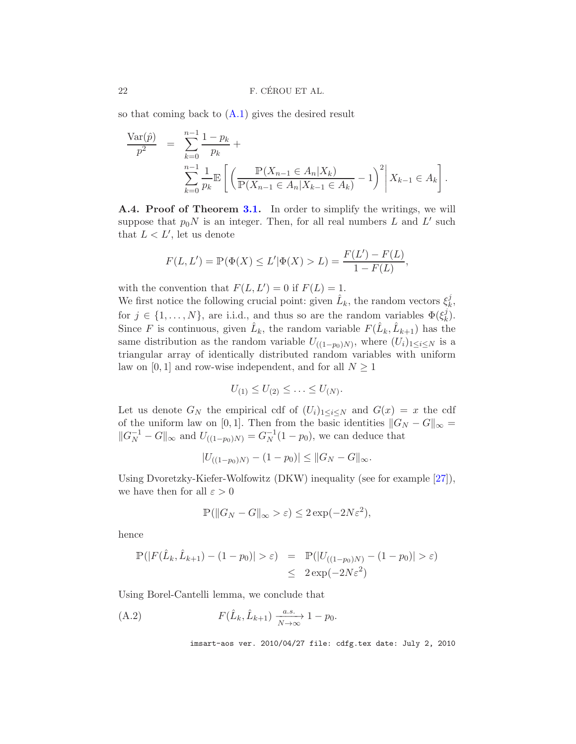so that coming back to  $(A.1)$  gives the desired result

$$
\frac{\text{Var}(\hat{p})}{p^2} = \sum_{k=0}^{n-1} \frac{1-p_k}{p_k} + \sum_{\substack{n=1 \ k \equiv 0}}^{n-1} \frac{1}{p_k} \mathbb{E}\left[\left(\frac{\mathbb{P}(X_{n-1} \in A_n | X_k)}{\mathbb{P}(X_{n-1} \in A_n | X_{k-1} \in A_k)} - 1\right)^2 \middle| X_{k-1} \in A_k\right].
$$

A.4. Proof of Theorem [3.1.](#page-10-0) In order to simplify the writings, we will suppose that  $p_0N$  is an integer. Then, for all real numbers L and L' such that  $L < L'$ , let us denote

$$
F(L, L') = \mathbb{P}(\Phi(X) \le L' | \Phi(X) > L) = \frac{F(L') - F(L)}{1 - F(L)},
$$

with the convention that  $F(L, L') = 0$  if  $F(L) = 1$ .

We first notice the following crucial point: given  $\hat{L}_k$ , the random vectors  $\xi_k^j$  $_{k}^{j},$ for  $j \in \{1, \ldots, N\}$ , are i.i.d., and thus so are the random variables  $\Phi(\xi_k^j)$  $\binom{j}{k}$ . Since F is continuous, given  $\hat{L}_k$ , the random variable  $F(\hat{L}_k, \hat{L}_{k+1})$  has the same distribution as the random variable  $U_{((1-p_0)N)}$ , where  $(U_i)_{1 \leq i \leq N}$  is a triangular array of identically distributed random variables with uniform law on [0, 1] and row-wise independent, and for all  $N \geq 1$ 

$$
U_{(1)} \leq U_{(2)} \leq \ldots \leq U_{(N)}.
$$

Let us denote  $G_N$  the empirical cdf of  $(U_i)_{1\leq i\leq N}$  and  $G(x) = x$  the cdf of the uniform law on [0, 1]. Then from the basic identities  $||G_N - G||_{\infty} =$  $||G_N^{-1} - G||_{\infty}$  and  $U_{((1-p_0)N)} = G_N^{-1}(1-p_0)$ , we can deduce that

$$
|U_{((1-p_0)N)} - (1-p_0)| \leq ||G_N - G||_{\infty}.
$$

Using Dvoretzky-Kiefer-Wolfowitz (DKW) inequality (see for example [\[27](#page-30-16)]), we have then for all  $\varepsilon > 0$ 

$$
\mathbb{P}(\|G_N - G\|_{\infty} > \varepsilon) \le 2\exp(-2N\varepsilon^2),
$$

hence

$$
\mathbb{P}(|F(\hat{L}_k, \hat{L}_{k+1}) - (1 - p_0)| > \varepsilon) = \mathbb{P}(|U_{((1 - p_0)N)} - (1 - p_0)| > \varepsilon)
$$
  

$$
\leq 2 \exp(-2N\varepsilon^2)
$$

Using Borel-Cantelli lemma, we conclude that

<span id="page-22-0"></span>(A.2) 
$$
F(\hat{L}_k, \hat{L}_{k+1}) \xrightarrow[N \to \infty]{a.s.} 1 - p_0.
$$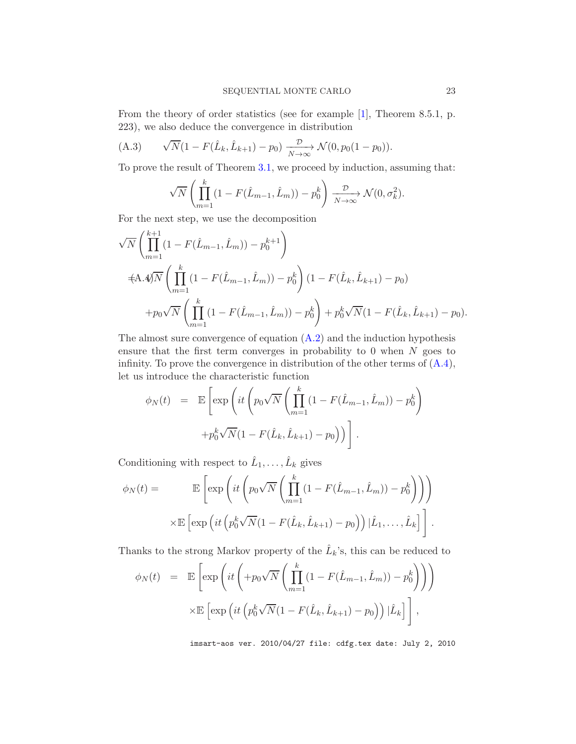From the theory of order statistics (see for example [\[1\]](#page-29-9), Theorem 8.5.1, p. 223), we also deduce the convergence in distribution

(A.3) 
$$
\sqrt{N}(1 - F(\hat{L}_k, \hat{L}_{k+1}) - p_0) \xrightarrow[N \to \infty]{\mathcal{D}} \mathcal{N}(0, p_0(1 - p_0)).
$$

To prove the result of Theorem [3.1,](#page-10-0) we proceed by induction, assuming that:

<span id="page-23-1"></span>
$$
\sqrt{N} \left( \prod_{m=1}^k (1 - F(\hat{L}_{m-1}, \hat{L}_m)) - p_0^k \right) \xrightarrow[N \to \infty]{\mathcal{D}} \mathcal{N}(0, \sigma_k^2).
$$

For the next step, we use the decomposition

<span id="page-23-0"></span>
$$
\sqrt{N} \left( \prod_{m=1}^{k+1} (1 - F(\hat{L}_{m-1}, \hat{L}_m)) - p_0^{k+1} \right)
$$
  
\n
$$
\pm A.4 \sqrt{N} \left( \prod_{m=1}^{k} (1 - F(\hat{L}_{m-1}, \hat{L}_m)) - p_0^k \right) (1 - F(\hat{L}_k, \hat{L}_{k+1}) - p_0)
$$
  
\n
$$
+ p_0 \sqrt{N} \left( \prod_{m=1}^{k} (1 - F(\hat{L}_{m-1}, \hat{L}_m)) - p_0^k \right) + p_0^k \sqrt{N} (1 - F(\hat{L}_k, \hat{L}_{k+1}) - p_0).
$$

The almost sure convergence of equation  $(A.2)$  and the induction hypothesis ensure that the first term converges in probability to  $0$  when  $N$  goes to infinity. To prove the convergence in distribution of the other terms of  $(A.4)$ , let us introduce the characteristic function

$$
\phi_N(t) = \mathbb{E}\left[\exp\left(it\left(p_0\sqrt{N}\left(\prod_{m=1}^k(1-F(\hat{L}_{m-1},\hat{L}_m)) - p_0^k\right) + p_0^k\sqrt{N}(1-F(\hat{L}_k,\hat{L}_{k+1}) - p_0)\right)\right].\right]
$$

Conditioning with respect to  $\hat{L}_1, \ldots, \hat{L}_k$  gives

$$
\phi_N(t) = \mathbb{E}\left[\exp\left(it\left(p_0\sqrt{N}\left(\prod_{m=1}^k(1-F(\hat{L}_{m-1},\hat{L}_m)) - p_0^k\right)\right)\right)\right]
$$

$$
\times \mathbb{E}\left[\exp\left(it\left(p_0^k\sqrt{N}(1-F(\hat{L}_k,\hat{L}_{k+1}) - p_0)\right)|\hat{L}_1,\ldots,\hat{L}_k\right]\right].
$$

Thanks to the strong Markov property of the  $\hat{L}_k$ 's, this can be reduced to

$$
\phi_N(t) = \mathbb{E}\left[\exp\left(it\left(+p_0\sqrt{N}\left(\prod_{m=1}^k(1-F(\hat{L}_{m-1},\hat{L}_m)) - p_0^k\right)\right)\right)\right]
$$

$$
\times \mathbb{E}\left[\exp\left(it\left(p_0^k\sqrt{N}(1-F(\hat{L}_k,\hat{L}_{k+1}) - p_0)\right)|\hat{L}_k\right]\right],
$$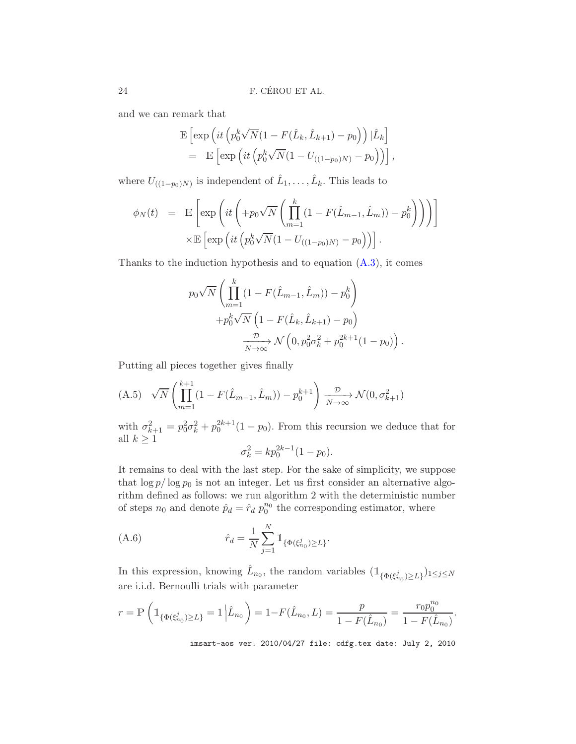and we can remark that

$$
\mathbb{E}\left[\exp\left(it\left(p_0^k\sqrt{N}(1-F(\hat{L}_k,\hat{L}_{k+1})-p_0\right)\right)|\hat{L}_k\right]
$$
  
= 
$$
\mathbb{E}\left[\exp\left(it\left(p_0^k\sqrt{N}(1-U_{((1-p_0)N)}-p_0\right)\right)\right],
$$

where  $U_{((1-p_0)N)}$  is independent of  $\hat{L}_1, \ldots, \hat{L}_k$ . This leads to

$$
\phi_N(t) = \mathbb{E}\left[\exp\left(it\left(+p_0\sqrt{N}\left(\prod_{m=1}^k(1-F(\hat{L}_{m-1},\hat{L}_m)) - p_0^k\right)\right)\right)\right] \times \mathbb{E}\left[\exp\left(it\left(p_0^k\sqrt{N}(1-U_{((1-p_0)N)} - p_0)\right)\right)\right].
$$

Thanks to the induction hypothesis and to equation  $(A.3)$ , it comes

$$
p_0 \sqrt{N} \left( \prod_{m=1}^k (1 - F(\hat{L}_{m-1}, \hat{L}_m)) - p_0^k \right) + p_0^k \sqrt{N} \left( 1 - F(\hat{L}_k, \hat{L}_{k+1}) - p_0 \right) - \frac{p_0}{N \to \infty} \mathcal{N} \left( 0, p_0^2 \sigma_k^2 + p_0^{2k+1} (1 - p_0) \right).
$$

Putting all pieces together gives finally

<span id="page-24-0"></span>
$$
(A.5) \quad \sqrt{N} \left( \prod_{m=1}^{k+1} (1 - F(\hat{L}_{m-1}, \hat{L}_m)) - p_0^{k+1} \right) \xrightarrow[N \to \infty]{\mathcal{D}} \mathcal{N}(0, \sigma_{k+1}^2)
$$

with  $\sigma_{k+1}^2 = p_0^2 \sigma_k^2 + p_0^{2k+1} (1 - p_0)$ . From this recursion we deduce that for all  $k \geq 1$ 

<span id="page-24-1"></span>
$$
\sigma_k^2 = k p_0^{2k-1} (1 - p_0).
$$

It remains to deal with the last step. For the sake of simplicity, we suppose that  $\log p / \log p_0$  is not an integer. Let us first consider an alternative algorithm defined as follows: we run algorithm 2 with the deterministic number of steps  $n_0$  and denote  $\hat{p}_d = \hat{r}_d p_0^{n_0}$  the corresponding estimator, where

(A.6) 
$$
\hat{r}_d = \frac{1}{N} \sum_{j=1}^N \mathbb{1}_{\{\Phi(\xi_{n_0}^j) \ge L\}}.
$$

In this expression, knowing  $\hat{L}_{n_0}$ , the random variables  $(\mathbb{1}_{\{\Phi(\xi_{n_0}^j) \ge L\}})_{1 \le j \le N}$ are i.i.d. Bernoulli trials with parameter

$$
r = \mathbb{P}\left(\mathbb{1}_{\{\Phi(\xi_{n_0}^j) \ge L\}} = 1 \middle| \hat{L}_{n_0}\right) = 1 - F(\hat{L}_{n_0}, L) = \frac{p}{1 - F(\hat{L}_{n_0})} = \frac{r_0 p_0^{n_0}}{1 - F(\hat{L}_{n_0})}.
$$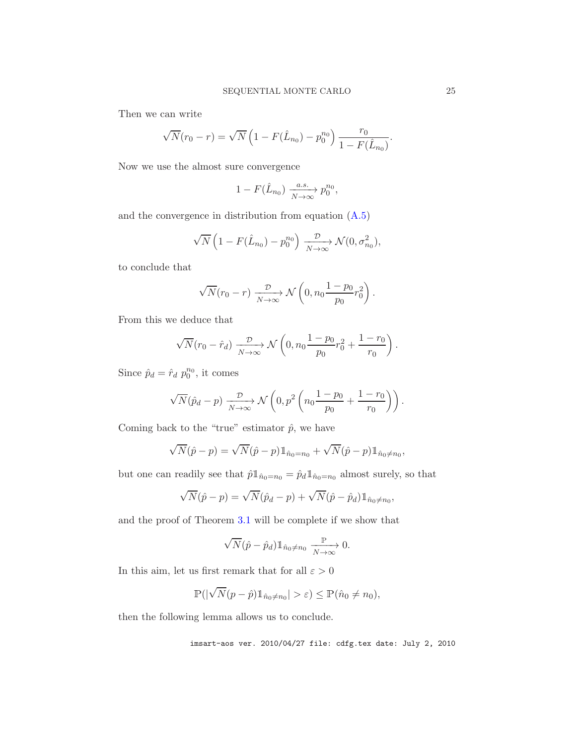Then we can write

$$
\sqrt{N}(r_0 - r) = \sqrt{N} \left( 1 - F(\hat{L}_{n_0}) - p_0^{n_0} \right) \frac{r_0}{1 - F(\hat{L}_{n_0})}.
$$

Now we use the almost sure convergence

$$
1 - F(\hat{L}_{n_0}) \xrightarrow[N \to \infty]{a.s.} p_0^{n_0},
$$

and the convergence in distribution from equation [\(A.5\)](#page-24-0)

$$
\sqrt{N}\left(1 - F(\hat{L}_{n_0}) - p_0^{n_0}\right) \xrightarrow[N \to \infty]{\mathcal{D}} \mathcal{N}(0, \sigma_{n_0}^2),
$$

to conclude that

$$
\sqrt{N}(r_0 - r) \xrightarrow[N \to \infty]{\mathcal{D}} \mathcal{N}\left(0, n_0 \frac{1 - p_0}{p_0} r_0^2\right).
$$

From this we deduce that

$$
\sqrt{N}(r_0 - \hat{r}_d) \xrightarrow[N \to \infty]{\mathcal{D}} \mathcal{N}\left(0, n_0 \frac{1 - p_0}{p_0} r_0^2 + \frac{1 - r_0}{r_0}\right).
$$

Since  $\hat{p}_d = \hat{r}_d p_0^{n_0}$ , it comes

$$
\sqrt{N}(\hat{p}_d - p) \xrightarrow[N \to \infty]{\mathcal{D}} \mathcal{N}\left(0, p^2 \left(n_0 \frac{1 - p_0}{p_0} + \frac{1 - r_0}{r_0}\right)\right).
$$

Coming back to the "true" estimator  $\hat{p}$ , we have

$$
\sqrt{N}(\hat{p} - p) = \sqrt{N}(\hat{p} - p) \mathbb{1}_{\hat{n}_0 = n_0} + \sqrt{N}(\hat{p} - p) \mathbb{1}_{\hat{n}_0 \neq n_0},
$$

but one can readily see that  $\hat{p}\mathbb{1}_{\hat{n}_0=n_0}=\hat{p}_d\mathbb{1}_{\hat{n}_0=n_0}$  almost surely, so that

$$
\sqrt{N}(\hat{p}-p) = \sqrt{N}(\hat{p}_d-p) + \sqrt{N}(\hat{p}-\hat{p}_d) \mathbb{1}_{\hat{n}_0 \neq n_0},
$$

and the proof of Theorem [3.1](#page-10-0) will be complete if we show that

$$
\sqrt{N}(\hat{p}-\hat{p}_d) \mathbb{1}_{\hat{n}_0 \neq n_0} \xrightarrow[N \to \infty]{\mathbb{P}} 0.
$$

In this aim, let us first remark that for all  $\varepsilon > 0$ 

$$
\mathbb{P}(|\sqrt{N}(p-\hat{p})1\!\!1_{\hat{n}_0\neq n_0}|>\varepsilon)\leq \mathbb{P}(\hat{n}_0\neq n_0),
$$

then the following lemma allows us to conclude.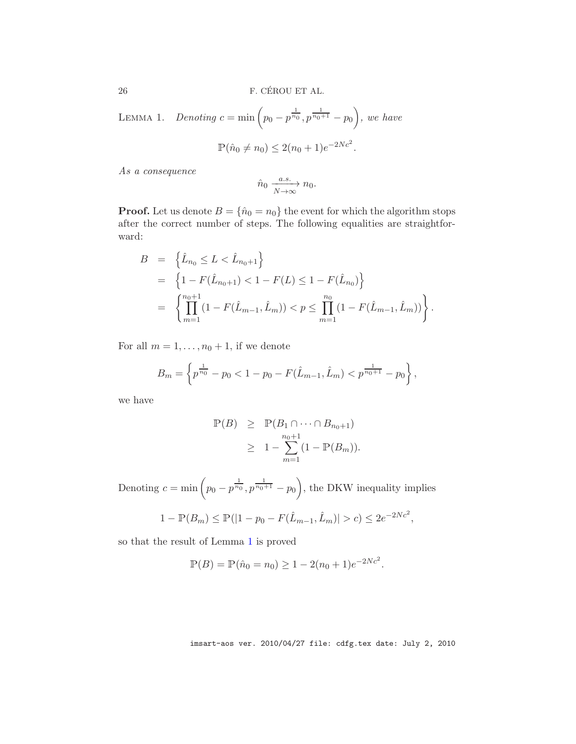<span id="page-26-0"></span>LEMMA 1. *Denoting*  $c = \min \left( p_0 - p^{\frac{1}{n_0}}, p^{\frac{1}{n_0+1}} - p_0 \right)$ , we have  $\mathbb{P}(\hat{n}_0 \neq n_0) \leq 2(n_0 + 1)e^{-2Nc^2}.$ 

*As a consequence*

$$
\hat{n}_0 \xrightarrow[N \to \infty]{a.s.} n_0.
$$

**Proof.** Let us denote  $B = \{\hat{n}_0 = n_0\}$  the event for which the algorithm stops after the correct number of steps. The following equalities are straightforward:

$$
B = \left\{ \hat{L}_{n_0} \le L < \hat{L}_{n_0+1} \right\}
$$
\n
$$
= \left\{ 1 - F(\hat{L}_{n_0+1}) < 1 - F(L) \le 1 - F(\hat{L}_{n_0}) \right\}
$$
\n
$$
= \left\{ \prod_{m=1}^{n_0+1} (1 - F(\hat{L}_{m-1}, \hat{L}_m)) < p \le \prod_{m=1}^{n_0} (1 - F(\hat{L}_{m-1}, \hat{L}_m)) \right\}.
$$

For all  $m = 1, \ldots, n_0 + 1$ , if we denote

$$
B_m = \left\{ p^{\frac{1}{n_0}} - p_0 < 1 - p_0 - F(\hat{L}_{m-1}, \hat{L}_m) < p^{\frac{1}{n_0 + 1}} - p_0 \right\},
$$

we have

$$
\mathbb{P}(B) \geq \mathbb{P}(B_1 \cap \dots \cap B_{n_0+1})
$$
  
\n
$$
\geq 1 - \sum_{m=1}^{n_0+1} (1 - \mathbb{P}(B_m)).
$$

Denoting  $c = \min \left( p_0 - p^{\frac{1}{n_0}}, p^{\frac{1}{n_0+1}} - p_0 \right)$ , the DKW inequality implies

$$
1 - \mathbb{P}(B_m) \le \mathbb{P}(|1 - p_0 - F(\hat{L}_{m-1}, \hat{L}_m)| > c) \le 2e^{-2Nc^2},
$$

so that the result of Lemma [1](#page-26-0) is proved

$$
\mathbb{P}(B) = \mathbb{P}(\hat{n}_0 = n_0) \ge 1 - 2(n_0 + 1)e^{-2Nc^2}.
$$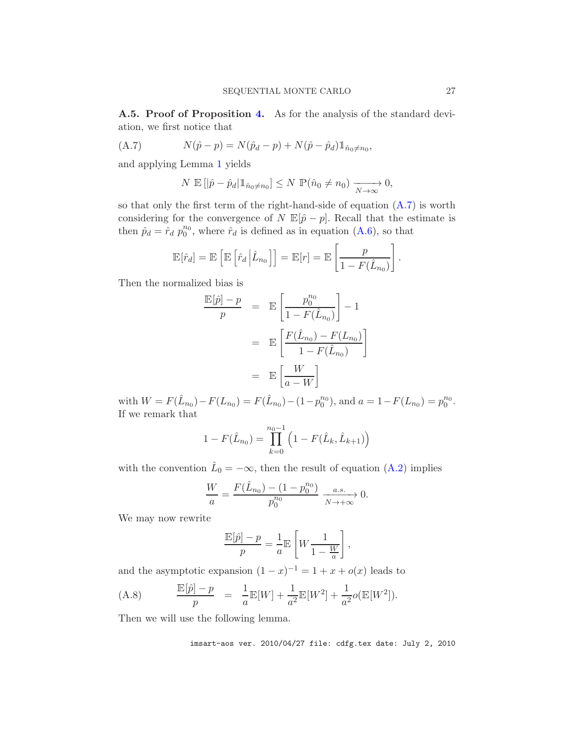A.5. Proof of Proposition [4.](#page-11-1) As for the analysis of the standard deviation, we first notice that

(A.7) 
$$
N(\hat{p} - p) = N(\hat{p}_d - p) + N(\hat{p} - \hat{p}_d) \mathbb{1}_{\hat{n}_0 \neq n_0},
$$

and applying Lemma [1](#page-26-0) yields

<span id="page-27-0"></span>
$$
N \mathbb{E} \left[ \left| \hat{p} - \hat{p}_d \right| \mathbb{1}_{\hat{n}_0 \neq n_0} \right] \le N \mathbb{P}(\hat{n}_0 \neq n_0) \xrightarrow[N \to \infty]{} 0,
$$

so that only the first term of the right-hand-side of equation  $(A.7)$  is worth considering for the convergence of N  $\mathbb{E}[\hat{p} - p]$ . Recall that the estimate is then  $\hat{p}_d = \hat{r}_d p_0^{n_0}$ , where  $\hat{r}_d$  is defined as in equation [\(A.6\)](#page-24-1), so that

$$
\mathbb{E}[\hat{r}_d] = \mathbb{E}\left[\mathbb{E}\left[\hat{r}_d \middle| \hat{L}_{n_0}\right]\right] = \mathbb{E}[r] = \mathbb{E}\left[\frac{p}{1 - F(\hat{L}_{n_0})}\right].
$$

Then the normalized bias is

$$
\frac{\mathbb{E}[\hat{p}] - p}{p} = \mathbb{E}\left[\frac{p_0^{n_0}}{1 - F(\hat{L}_{n_0})}\right] - 1
$$

$$
= \mathbb{E}\left[\frac{F(\hat{L}_{n_0}) - F(L_{n_0})}{1 - F(\hat{L}_{n_0})}\right]
$$

$$
= \mathbb{E}\left[\frac{W}{a - W}\right]
$$

with  $W = F(\hat{L}_{n_0}) - F(L_{n_0}) = F(\hat{L}_{n_0}) - (1 - p_0^{n_0})$ , and  $a = 1 - F(L_{n_0}) = p_0^{n_0}$ . If we remark that

$$
1 - F(\hat{L}_{n_0}) = \prod_{k=0}^{n_0 - 1} \left( 1 - F(\hat{L}_k, \hat{L}_{k+1}) \right)
$$

with the convention  $\hat{L}_0 = -\infty$ , then the result of equation [\(A.2\)](#page-22-0) implies

$$
\frac{W}{a} = \frac{F(\hat{L}_{n_0}) - (1 - p_0^{n_0})}{p_0^{n_0}} \xrightarrow[N \to +\infty]{a.s.} 0.
$$

We may now rewrite

$$
\frac{\mathbb{E}[\hat{p}]-p}{p} = \frac{1}{a}\mathbb{E}\left[W\frac{1}{1-\frac{W}{a}}\right],
$$

and the asymptotic expansion  $(1-x)^{-1} = 1 + x + o(x)$  leads to

<span id="page-27-1"></span>(A.8) 
$$
\frac{\mathbb{E}[\hat{p}] - p}{p} = \frac{1}{a} \mathbb{E}[W] + \frac{1}{a^2} \mathbb{E}[W^2] + \frac{1}{a^2} o(\mathbb{E}[W^2]).
$$

Then we will use the following lemma.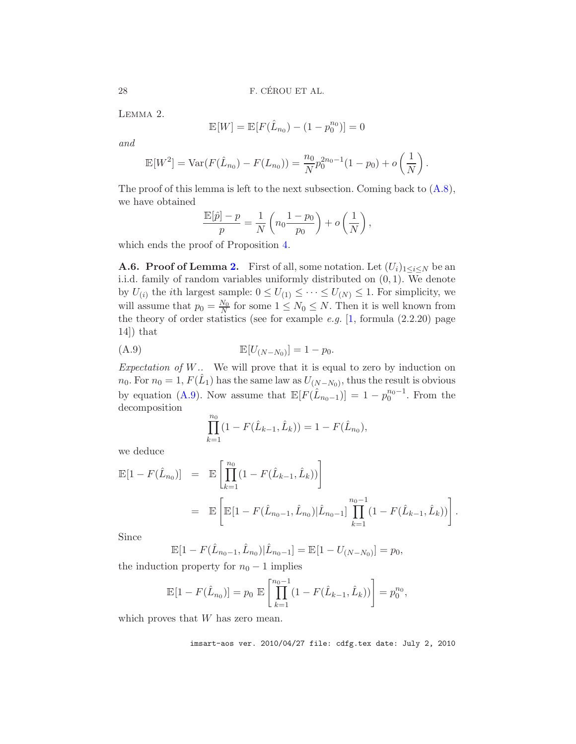<span id="page-28-0"></span>Lemma 2.

$$
\mathbb{E}[W] = \mathbb{E}[F(\hat{L}_{n_0}) - (1 - p_0^{n_0})] = 0
$$

*and*

$$
\mathbb{E}[W^2] = \text{Var}(F(\hat{L}_{n_0}) - F(L_{n_0})) = \frac{n_0}{N} p_0^{2n_0 - 1} (1 - p_0) + o\left(\frac{1}{N}\right).
$$

The proof of this lemma is left to the next subsection. Coming back to  $(A.8)$ , we have obtained

$$
\frac{\mathbb{E}[\hat{p}] - p}{p} = \frac{1}{N} \left( n_0 \frac{1 - p_0}{p_0} \right) + o\left(\frac{1}{N}\right),
$$

which ends the proof of Proposition [4.](#page-11-1)

**A.6. Proof of Lemma [2.](#page-28-0)** First of all, some notation. Let  $(U_i)_{1 \leq i \leq N}$  be an i.i.d. family of random variables uniformly distributed on (0, 1). We denote by  $U_{(i)}$  the *i*th largest sample:  $0 \leq U_{(1)} \leq \cdots \leq U_{(N)} \leq 1$ . For simplicity, we will assume that  $p_0 = \frac{N_0}{N}$  $\frac{N_0}{N}$  for some  $1 \leq N_0 \leq N$ . Then it is well known from the theory of order statistics (see for example *e.g.* [\[1,](#page-29-9) formula (2.2.20) page 14]) that

(A.9) 
$$
\mathbb{E}[U_{(N-N_0)}] = 1 - p_0.
$$

*Expectation of* W*..* We will prove that it is equal to zero by induction on  $n_0$ . For  $n_0 = 1$ ,  $F(\hat{L}_1)$  has the same law as  $U_{(N-N_0)}$ , thus the result is obvious by equation [\(A.9\)](#page-28-1). Now assume that  $\mathbb{E}[F(\hat{L}_{n_0-1})] = 1 - p_0^{n_0-1}$ . From the decomposition

<span id="page-28-1"></span>
$$
\prod_{k=1}^{n_0} (1 - F(\hat{L}_{k-1}, \hat{L}_k)) = 1 - F(\hat{L}_{n_0}),
$$

we deduce

$$
\mathbb{E}[1 - F(\hat{L}_{n_0})] = \mathbb{E}\left[\prod_{k=1}^{n_0} (1 - F(\hat{L}_{k-1}, \hat{L}_k))\right]
$$
  
=  $\mathbb{E}\left[\mathbb{E}[1 - F(\hat{L}_{n_0-1}, \hat{L}_{n_0})|\hat{L}_{n_0-1}]\prod_{k=1}^{n_0-1} (1 - F(\hat{L}_{k-1}, \hat{L}_k))\right].$ 

Since

$$
\mathbb{E}[1 - F(\hat{L}_{n_0-1}, \hat{L}_{n_0}) | \hat{L}_{n_0-1}] = \mathbb{E}[1 - U_{(N-N_0)}] = p_0,
$$

the induction property for  $n_0 - 1$  implies

$$
\mathbb{E}[1 - F(\hat{L}_{n_0})] = p_0 \mathbb{E}\left[\prod_{k=1}^{n_0 - 1} (1 - F(\hat{L}_{k-1}, \hat{L}_k))\right] = p_0^{n_0},
$$

which proves that  $W$  has zero mean.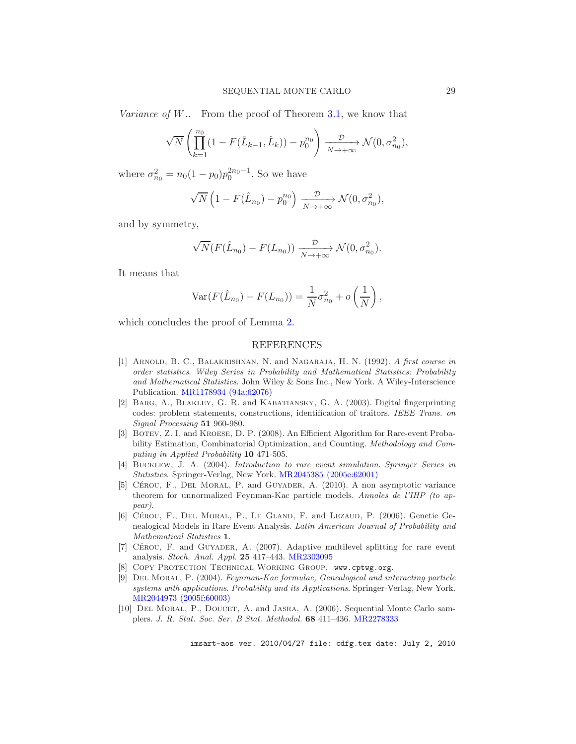*Variance of* W*..* From the proof of Theorem [3.1,](#page-10-0) we know that

$$
\sqrt{N}\left(\prod_{k=1}^{n_0} (1 - F(\hat{L}_{k-1}, \hat{L}_k)) - p_0^{n_0}\right) \xrightarrow[N \to +\infty]{\mathcal{D}} \mathcal{N}(0, \sigma_{n_0}^2),
$$

where  $\sigma_{n_0}^2 = n_0(1-p_0)p_0^{2n_0-1}$ . So we have

$$
\sqrt{N}\left(1 - F(\hat{L}_{n_0}) - p_0^{n_0}\right) \xrightarrow[N \to +\infty]{\mathcal{D}} \mathcal{N}(0, \sigma_{n_0}^2),
$$

and by symmetry,

$$
\sqrt{N}(F(\hat{L}_{n_0}) - F(L_{n_0})) \xrightarrow[N \to +\infty]{\mathcal{D}} \mathcal{N}(0, \sigma_{n_0}^2).
$$

It means that

$$
Var(F(\hat{L}_{n_0}) - F(L_{n_0})) = \frac{1}{N}\sigma_{n_0}^2 + o\left(\frac{1}{N}\right),\,
$$

which concludes the proof of Lemma [2.](#page-28-0)

### REFERENCES

- <span id="page-29-9"></span>[1] Arnold, B. C., Balakrishnan, N. and Nagaraja, H. N. (1992). *A first course in order statistics*. *Wiley Series in Probability and Mathematical Statistics: Probability and Mathematical Statistics*. John Wiley & Sons Inc., New York. A Wiley-Interscience Publication. [MR1178934 \(94a:62076\)](http://www.ams.org/mathscinet-getitem?mr=MR1178934)
- <span id="page-29-8"></span>[2] Barg, A., Blakley, G. R. and Kabatiansky, G. A. (2003). Digital fingerprinting codes: problem statements, constructions, identification of traitors. *IEEE Trans. on Signal Processing* 51 960-980.
- <span id="page-29-5"></span>[3] Botev, Z. I. and Kroese, D. P. (2008). An Efficient Algorithm for Rare-event Probability Estimation, Combinatorial Optimization, and Counting. *Methodology and Computing in Applied Probability* 10 471-505.
- <span id="page-29-0"></span>[4] Bucklew, J. A. (2004). *Introduction to rare event simulation*. *Springer Series in Statistics*. Springer-Verlag, New York. [MR2045385 \(2005e:62001\)](http://www.ams.org/mathscinet-getitem?mr=MR2045385)
- <span id="page-29-6"></span>[5] CÉROU, F., DEL MORAL, P. and GUYADER, A. (2010). A non asymptotic variance theorem for unnormalized Feynman-Kac particle models. *Annales de l'IHP (to appear)*.
- <span id="page-29-2"></span>[6] CÉROU, F., DEL MORAL, P., LE GLAND, F. and LEZAUD, P. (2006). Genetic Genealogical Models in Rare Event Analysis. *Latin American Journal of Probability and Mathematical Statistics* 1.
- <span id="page-29-3"></span>[7] CÉROU, F. and GUYADER, A. (2007). Adaptive multilevel splitting for rare event analysis. *Stoch. Anal. Appl.* 25 417–443. [MR2303095](http://www.ams.org/mathscinet-getitem?mr=MR2303095)
- <span id="page-29-7"></span>[8] Copy Protection Technical Working Group, www.cptwg.org.
- <span id="page-29-1"></span>[9] Del Moral, P. (2004). *Feynman-Kac formulae, Genealogical and interacting particle systems with applications*. *Probability and its Applications*. Springer-Verlag, New York. [MR2044973 \(2005f:60003\)](http://www.ams.org/mathscinet-getitem?mr=MR2044973)
- <span id="page-29-4"></span>[10] DEL MORAL, P., DOUCET, A. and JASRA, A. (2006). Sequential Monte Carlo samplers. *J. R. Stat. Soc. Ser. B Stat. Methodol.* 68 411–436. [MR2278333](http://www.ams.org/mathscinet-getitem?mr=MR2278333)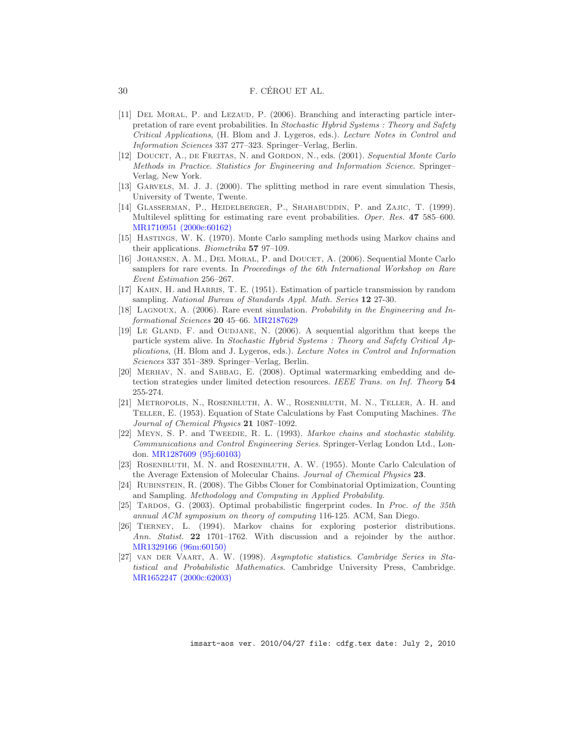#### 30 F. CÉROU ET AL.

- <span id="page-30-3"></span>[11] Del Moral, P. and Lezaud, P. (2006). Branching and interacting particle interpretation of rare event probabilities. In *Stochastic Hybrid Systems : Theory and Safety Critical Applications*, (H. Blom and J. Lygeros, eds.). *Lecture Notes in Control and Information Sciences* 337 277–323. Springer–Verlag, Berlin.
- <span id="page-30-7"></span>[12] Doucet, A., de Freitas, N. and Gordon, N., eds. (2001). *Sequential Monte Carlo Methods in Practice*. *Statistics for Engineering and Information Science*. Springer– Verlag, New York.
- <span id="page-30-5"></span>[13] Garvels, M. J. J. (2000). The splitting method in rare event simulation Thesis, University of Twente, Twente.
- <span id="page-30-2"></span>[14] GLASSERMAN, P., HEIDELBERGER, P., SHAHABUDDIN, P. and ZAJIC, T. (1999). Multilevel splitting for estimating rare event probabilities. *Oper. Res.* 47 585–600. [MR1710951 \(2000e:60162\)](http://www.ams.org/mathscinet-getitem?mr=MR1710951)
- <span id="page-30-11"></span>[15] Hastings, W. K. (1970). Monte Carlo sampling methods using Markov chains and their applications. *Biometrika* 57 97–109.
- <span id="page-30-4"></span>[16] Johansen, A. M., Del Moral, P. and Doucet, A. (2006). Sequential Monte Carlo samplers for rare events. In *Proceedings of the 6th International Workshop on Rare Event Estimation* 256–267.
- <span id="page-30-0"></span>[17] Kahn, H. and Harris, T. E. (1951). Estimation of particle transmission by random sampling. *National Bureau of Standards Appl. Math. Series* 12 27-30.
- <span id="page-30-8"></span>[18] Lagnoux, A. (2006). Rare event simulation. *Probability in the Engineering and Informational Sciences* 20 45–66. [MR2187629](http://www.ams.org/mathscinet-getitem?mr=MR2187629)
- <span id="page-30-9"></span>[19] LE GLAND, F. and OUDJANE, N. (2006). A sequential algorithm that keeps the particle system alive. In *Stochastic Hybrid Systems : Theory and Safety Critical Applications*, (H. Blom and J. Lygeros, eds.). *Lecture Notes in Control and Information Sciences* 337 351–389. Springer–Verlag, Berlin.
- <span id="page-30-14"></span>[20] Merhav, N. and Sabbag, E. (2008). Optimal watermarking embedding and detection strategies under limited detection resources. *IEEE Trans. on Inf. Theory* 54 255-274.
- <span id="page-30-10"></span>[21] Metropolis, N., Rosenbluth, A. W., Rosenbluth, M. N., Teller, A. H. and Teller, E. (1953). Equation of State Calculations by Fast Computing Machines. *The Journal of Chemical Physics* 21 1087–1092.
- <span id="page-30-12"></span>[22] Meyn, S. P. and Tweedie, R. L. (1993). *Markov chains and stochastic stability*. *Communications and Control Engineering Series*. Springer-Verlag London Ltd., London. [MR1287609 \(95j:60103\)](http://www.ams.org/mathscinet-getitem?mr=MR1287609)
- <span id="page-30-1"></span>[23] Rosenbluth, M. N. and Rosenbluth, A. W. (1955). Monte Carlo Calculation of the Average Extension of Molecular Chains. *Journal of Chemical Physics* 23.
- <span id="page-30-6"></span>[24] Rubinstein, R. (2008). The Gibbs Cloner for Combinatorial Optimization, Counting and Sampling. *Methodology and Computing in Applied Probability*.
- <span id="page-30-15"></span>[25] Tardos, G. (2003). Optimal probabilistic fingerprint codes. In *Proc. of the 35th annual ACM symposium on theory of computing* 116-125. ACM, San Diego.
- <span id="page-30-13"></span>[26] Tierney, L. (1994). Markov chains for exploring posterior distributions. *Ann. Statist.* 22 1701–1762. With discussion and a rejoinder by the author. [MR1329166 \(96m:60150\)](http://www.ams.org/mathscinet-getitem?mr=MR1329166)
- <span id="page-30-16"></span>[27] van der Vaart, A. W. (1998). *Asymptotic statistics*. *Cambridge Series in Statistical and Probabilistic Mathematics*. Cambridge University Press, Cambridge. [MR1652247 \(2000c:62003\)](http://www.ams.org/mathscinet-getitem?mr=MR1652247)